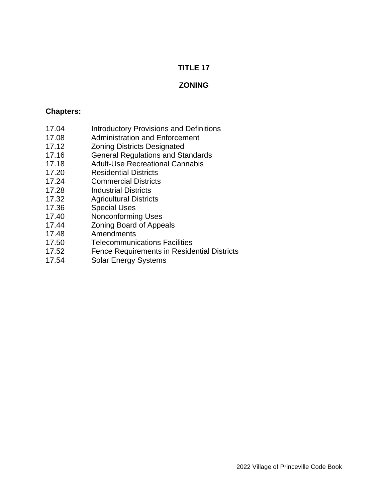# **TITLE 17**

## **ZONING**

### **Chapters:**

- 17.04 Introductory Provisions and Definitions
- 17.08 Administration and Enforcement
- 17.12 Zoning Districts Designated
- 17.16 General Regulations and Standards
- 17.18 Adult-Use Recreational Cannabis
- 17.20 Residential Districts
- 17.24 Commercial Districts
- 17.28 Industrial Districts
- 17.32 Agricultural Districts
- 17.36 Special Uses
- 17.40 Nonconforming Uses
- 17.44 Zoning Board of Appeals
- 17.48 Amendments
- 17.50 Telecommunications Facilities
- 17.52 Fence Requirements in Residential Districts
- 17.54 Solar Energy Systems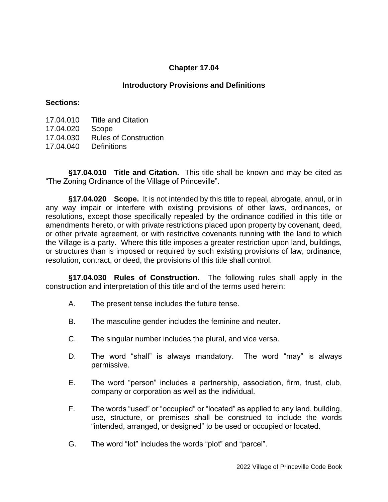#### **Introductory Provisions and Definitions**

#### **Sections:**

- 17.04.010 Title and Citation 17.04.020 Scope 17.04.030 Rules of Construction
- 17.04.040 Definitions

**§17.04.010 Title and Citation.** This title shall be known and may be cited as "The Zoning Ordinance of the Village of Princeville".

**§17.04.020 Scope.** It is not intended by this title to repeal, abrogate, annul, or in any way impair or interfere with existing provisions of other laws, ordinances, or resolutions, except those specifically repealed by the ordinance codified in this title or amendments hereto, or with private restrictions placed upon property by covenant, deed, or other private agreement, or with restrictive covenants running with the land to which the Village is a party. Where this title imposes a greater restriction upon land, buildings, or structures than is imposed or required by such existing provisions of law, ordinance, resolution, contract, or deed, the provisions of this title shall control.

**§17.04.030 Rules of Construction.** The following rules shall apply in the construction and interpretation of this title and of the terms used herein:

- A. The present tense includes the future tense.
- B. The masculine gender includes the feminine and neuter.
- C. The singular number includes the plural, and vice versa.
- D. The word "shall" is always mandatory. The word "may" is always permissive.
- E. The word "person" includes a partnership, association, firm, trust, club, company or corporation as well as the individual.
- F. The words "used" or "occupied" or "located" as applied to any land, building, use, structure, or premises shall be construed to include the words "intended, arranged, or designed" to be used or occupied or located.
- G. The word "lot" includes the words "plot" and "parcel".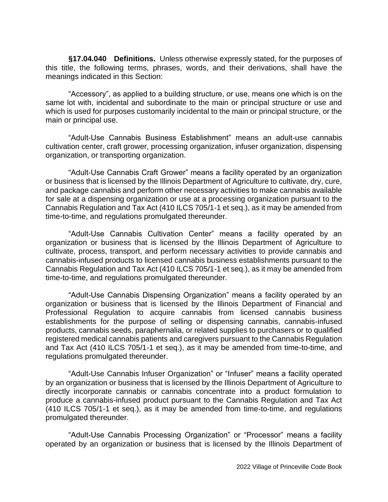**§17.04.040 Definitions.** Unless otherwise expressly stated, for the purposes of this title, the following terms, phrases, words, and their derivations, shall have the meanings indicated in this Section:

"Accessory", as applied to a building structure, or use, means one which is on the same lot with, incidental and subordinate to the main or principal structure or use and which is used for purposes customarily incidental to the main or principal structure, or the main or principal use.

"Adult-Use Cannabis Business Establishment" means an adult-use cannabis cultivation center, craft grower, processing organization, infuser organization, dispensing organization, or transporting organization.

"Adult-Use Cannabis Craft Grower" means a facility operated by an organization or business that is licensed by the Illinois Department of Agriculture to cultivate, dry, cure, and package cannabis and perform other necessary activities to make cannabis available for sale at a dispensing organization or use at a processing organization pursuant to the Cannabis Regulation and Tax Act (410 ILCS 705/1-1 et seq.), as it may be amended from time-to-time, and regulations promulgated thereunder.

"Adult-Use Cannabis Cultivation Center" means a facility operated by an organization or business that is licensed by the Illinois Department of Agriculture to cultivate, process, transport, and perform necessary activities to provide cannabis and cannabis-infused products to licensed cannabis business establishments pursuant to the Cannabis Regulation and Tax Act (410 ILCS 705/1-1 et seq.), as it may be amended from time-to-time, and regulations promulgated thereunder.

"Adult-Use Cannabis Dispensing Organization" means a facility operated by an organization or business that is licensed by the Illinois Department of Financial and Professional Regulation to acquire cannabis from licensed cannabis business establishments for the purpose of selling or dispensing cannabis, cannabis-infused products, cannabis seeds, paraphernalia, or related supplies to purchasers or to qualified registered medical cannabis patients and caregivers pursuant to the Cannabis Regulation and Tax Act (410 ILCS 705/1-1 et seq.), as it may be amended from time-to-time, and regulations promulgated thereunder.

"Adult-Use Cannabis Infuser Organization" or "Infuser" means a facility operated by an organization or business that is licensed by the Illinois Department of Agriculture to directly incorporate cannabis or cannabis concentrate into a product formulation to produce a cannabis-infused product pursuant to the Cannabis Regulation and Tax Act (410 ILCS 705/1-1 et seq.), as it may be amended from time-to-time, and regulations promulgated thereunder.

"Adult-Use Cannabis Processing Organization" or "Processor" means a facility operated by an organization or business that is licensed by the Illinois Department of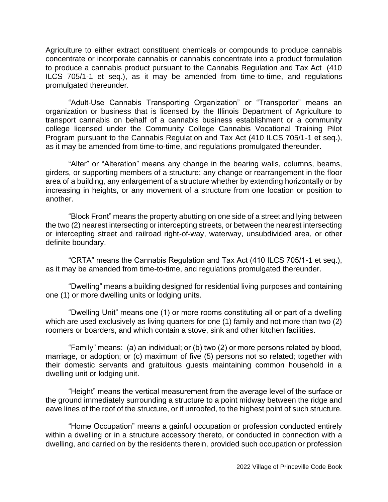Agriculture to either extract constituent chemicals or compounds to produce cannabis concentrate or incorporate cannabis or cannabis concentrate into a product formulation to produce a cannabis product pursuant to the Cannabis Regulation and Tax Act (410 ILCS 705/1-1 et seq.), as it may be amended from time-to-time, and regulations promulgated thereunder.

"Adult-Use Cannabis Transporting Organization" or "Transporter" means an organization or business that is licensed by the Illinois Department of Agriculture to transport cannabis on behalf of a cannabis business establishment or a community college licensed under the Community College Cannabis Vocational Training Pilot Program pursuant to the Cannabis Regulation and Tax Act (410 ILCS 705/1-1 et seq.), as it may be amended from time-to-time, and regulations promulgated thereunder.

"Alter" or "Alteration" means any change in the bearing walls, columns, beams, girders, or supporting members of a structure; any change or rearrangement in the floor area of a building, any enlargement of a structure whether by extending horizontally or by increasing in heights, or any movement of a structure from one location or position to another.

"Block Front" means the property abutting on one side of a street and lying between the two (2) nearest intersecting or intercepting streets, or between the nearest intersecting or intercepting street and railroad right-of-way, waterway, unsubdivided area, or other definite boundary.

"CRTA" means the Cannabis Regulation and Tax Act (410 ILCS 705/1-1 et seq.), as it may be amended from time-to-time, and regulations promulgated thereunder.

"Dwelling" means a building designed for residential living purposes and containing one (1) or more dwelling units or lodging units.

"Dwelling Unit" means one (1) or more rooms constituting all or part of a dwelling which are used exclusively as living quarters for one (1) family and not more than two (2) roomers or boarders, and which contain a stove, sink and other kitchen facilities.

"Family" means: (a) an individual; or (b) two (2) or more persons related by blood, marriage, or adoption; or (c) maximum of five (5) persons not so related; together with their domestic servants and gratuitous guests maintaining common household in a dwelling unit or lodging unit.

"Height" means the vertical measurement from the average level of the surface or the ground immediately surrounding a structure to a point midway between the ridge and eave lines of the roof of the structure, or if unroofed, to the highest point of such structure.

"Home Occupation" means a gainful occupation or profession conducted entirely within a dwelling or in a structure accessory thereto, or conducted in connection with a dwelling, and carried on by the residents therein, provided such occupation or profession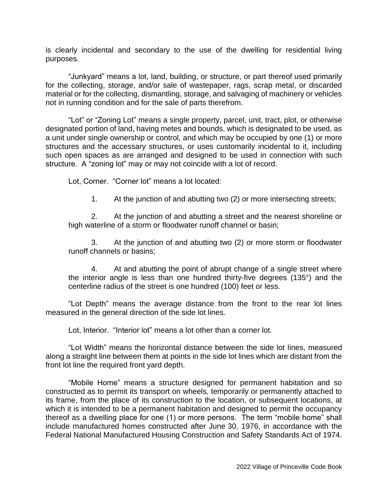is clearly incidental and secondary to the use of the dwelling for residential living purposes.

"Junkyard" means a lot, land, building, or structure, or part thereof used primarily for the collecting, storage, and/or sale of wastepaper, rags, scrap metal, or discarded material or for the collecting, dismantling, storage, and salvaging of machinery or vehicles not in running condition and for the sale of parts therefrom.

"Lot" or "Zoning Lot" means a single property, parcel, unit, tract, plot, or otherwise designated portion of land, having metes and bounds, which is designated to be used, as a unit under single ownership or control, and which may be occupied by one (1) or more structures and the accessary structures, or uses customarily incidental to it, including such open spaces as are arranged and designed to be used in connection with such structure. A "zoning lot" may or may not coincide with a lot of record.

Lot, Corner. "Corner lot" means a lot located:

1. At the junction of and abutting two (2) or more intersecting streets;

2. At the junction of and abutting a street and the nearest shoreline or high waterline of a storm or floodwater runoff channel or basin;

3. At the junction of and abutting two (2) or more storm or floodwater runoff channels or basins;

4. At and abutting the point of abrupt change of a single street where the interior angle is less than one hundred thirty-five degrees (135°) and the centerline radius of the street is one hundred (100) feet or less.

"Lot Depth" means the average distance from the front to the rear lot lines measured in the general direction of the side lot lines.

Lot, Interior. "Interior lot" means a lot other than a corner lot.

"Lot Width" means the horizontal distance between the side lot lines, measured along a straight line between them at points in the side lot lines which are distant from the front lot line the required front yard depth.

"Mobile Home" means a structure designed for permanent habitation and so constructed as to permit its transport on wheels, temporarily or permanently attached to its frame, from the place of its construction to the location, or subsequent locations, at which it is intended to be a permanent habitation and designed to permit the occupancy thereof as a dwelling place for one (1) or more persons. The term "mobile home" shall include manufactured homes constructed after June 30, 1976, in accordance with the Federal National Manufactured Housing Construction and Safety Standards Act of 1974.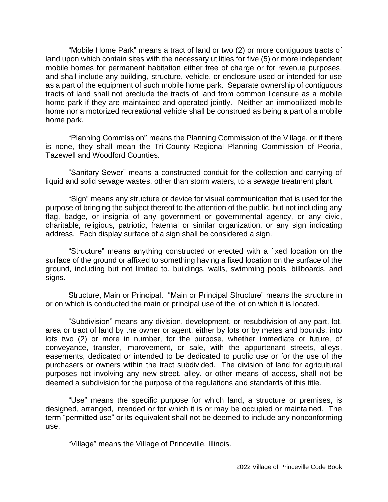"Mobile Home Park" means a tract of land or two (2) or more contiguous tracts of land upon which contain sites with the necessary utilities for five (5) or more independent mobile homes for permanent habitation either free of charge or for revenue purposes, and shall include any building, structure, vehicle, or enclosure used or intended for use as a part of the equipment of such mobile home park. Separate ownership of contiguous tracts of land shall not preclude the tracts of land from common licensure as a mobile home park if they are maintained and operated jointly. Neither an immobilized mobile home nor a motorized recreational vehicle shall be construed as being a part of a mobile home park.

"Planning Commission" means the Planning Commission of the Village, or if there is none, they shall mean the Tri-County Regional Planning Commission of Peoria, Tazewell and Woodford Counties.

"Sanitary Sewer" means a constructed conduit for the collection and carrying of liquid and solid sewage wastes, other than storm waters, to a sewage treatment plant.

"Sign" means any structure or device for visual communication that is used for the purpose of bringing the subject thereof to the attention of the public, but not including any flag, badge, or insignia of any government or governmental agency, or any civic, charitable, religious, patriotic, fraternal or similar organization, or any sign indicating address. Each display surface of a sign shall be considered a sign.

"Structure" means anything constructed or erected with a fixed location on the surface of the ground or affixed to something having a fixed location on the surface of the ground, including but not limited to, buildings, walls, swimming pools, billboards, and signs.

Structure, Main or Principal. "Main or Principal Structure" means the structure in or on which is conducted the main or principal use of the lot on which it is located.

"Subdivision" means any division, development, or resubdivision of any part, lot, area or tract of land by the owner or agent, either by lots or by metes and bounds, into lots two (2) or more in number, for the purpose, whether immediate or future, of conveyance, transfer, improvement, or sale, with the appurtenant streets, alleys, easements, dedicated or intended to be dedicated to public use or for the use of the purchasers or owners within the tract subdivided. The division of land for agricultural purposes not involving any new street, alley, or other means of access, shall not be deemed a subdivision for the purpose of the regulations and standards of this title.

"Use" means the specific purpose for which land, a structure or premises, is designed, arranged, intended or for which it is or may be occupied or maintained. The term "permitted use" or its equivalent shall not be deemed to include any nonconforming use.

"Village" means the Village of Princeville, Illinois.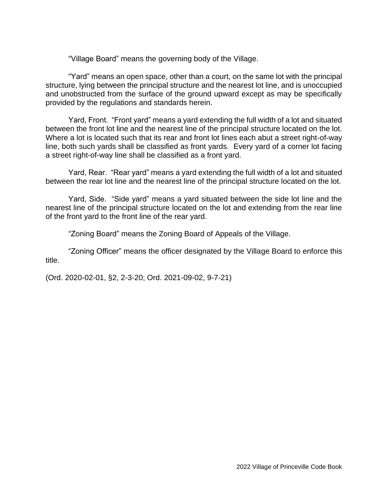"Village Board" means the governing body of the Village.

"Yard" means an open space, other than a court, on the same lot with the principal structure, lying between the principal structure and the nearest lot line, and is unoccupied and unobstructed from the surface of the ground upward except as may be specifically provided by the regulations and standards herein.

Yard, Front. "Front yard" means a yard extending the full width of a lot and situated between the front lot line and the nearest line of the principal structure located on the lot. Where a lot is located such that its rear and front lot lines each abut a street right-of-way line, both such yards shall be classified as front yards. Every yard of a corner lot facing a street right-of-way line shall be classified as a front yard.

Yard, Rear. "Rear yard" means a yard extending the full width of a lot and situated between the rear lot line and the nearest line of the principal structure located on the lot.

Yard, Side. "Side yard" means a yard situated between the side lot line and the nearest line of the principal structure located on the lot and extending from the rear line of the front yard to the front line of the rear yard.

"Zoning Board" means the Zoning Board of Appeals of the Village.

"Zoning Officer" means the officer designated by the Village Board to enforce this title.

(Ord. 2020-02-01, §2, 2-3-20; Ord. 2021-09-02, 9-7-21)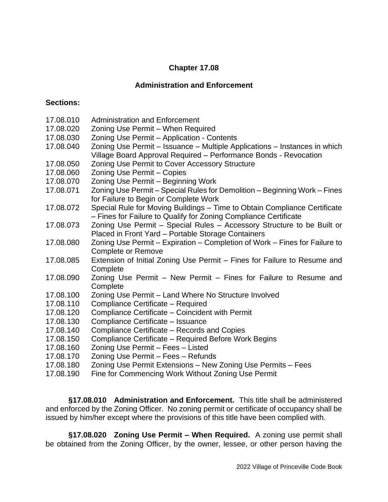### **Administration and Enforcement**

#### **Sections:**

- 17.08.010 Administration and Enforcement
- 17.08.020 Zoning Use Permit When Required
- 17.08.030 Zoning Use Permit Application Contents
- 17.08.040 Zoning Use Permit Issuance Multiple Applications Instances in which Village Board Approval Required – Performance Bonds - Revocation
- 17.08.050 Zoning Use Permit to Cover Accessory Structure
- 17.08.060 Zoning Use Permit Copies
- 17.08.070 Zoning Use Permit Beginning Work
- 17.08.071 Zoning Use Permit Special Rules for Demolition Beginning Work Fines for Failure to Begin or Complete Work
- 17.08.072 Special Rule for Moving Buildings Time to Obtain Compliance Certificate – Fines for Failure to Qualify for Zoning Compliance Certificate
- 17.08.073 Zoning Use Permit Special Rules Accessory Structure to be Built or Placed in Front Yard – Portable Storage Containers
- 17.08.080 Zoning Use Permit Expiration Completion of Work Fines for Failure to Complete or Remove
- 17.08.085 Extension of Initial Zoning Use Permit Fines for Failure to Resume and **Complete**
- 17.08.090 Zoning Use Permit New Permit Fines for Failure to Resume and **Complete**
- 17.08.100 Zoning Use Permit Land Where No Structure Involved
- 17.08.110 Compliance Certificate Required
- 17.08.120 Compliance Certificate Coincident with Permit
- 17.08.130 Compliance Certificate Issuance
- 17.08.140 Compliance Certificate Records and Copies
- 17.08.150 Compliance Certificate Required Before Work Begins
- 17.08.160 Zoning Use Permit Fees Listed
- 17.08.170 Zoning Use Permit Fees Refunds
- 17.08.180 Zoning Use Permit Extensions New Zoning Use Permits Fees
- 17.08.190 Fine for Commencing Work Without Zoning Use Permit

**§17.08.010 Administration and Enforcement.** This title shall be administered and enforced by the Zoning Officer. No zoning permit or certificate of occupancy shall be issued by him/her except where the provisions of this title have been complied with.

**§17.08.020 Zoning Use Permit – When Required.** A zoning use permit shall be obtained from the Zoning Officer, by the owner, lessee, or other person having the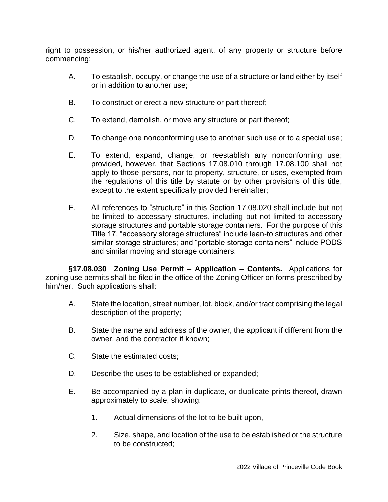right to possession, or his/her authorized agent, of any property or structure before commencing:

- A. To establish, occupy, or change the use of a structure or land either by itself or in addition to another use;
- B. To construct or erect a new structure or part thereof;
- C. To extend, demolish, or move any structure or part thereof;
- D. To change one nonconforming use to another such use or to a special use;
- E. To extend, expand, change, or reestablish any nonconforming use; provided, however, that Sections 17.08.010 through 17.08.100 shall not apply to those persons, nor to property, structure, or uses, exempted from the regulations of this title by statute or by other provisions of this title, except to the extent specifically provided hereinafter;
- F. All references to "structure" in this Section 17.08.020 shall include but not be limited to accessary structures, including but not limited to accessory storage structures and portable storage containers. For the purpose of this Title 17, "accessory storage structures" include lean-to structures and other similar storage structures; and "portable storage containers" include PODS and similar moving and storage containers.

**§17.08.030 Zoning Use Permit – Application – Contents.** Applications for zoning use permits shall be filed in the office of the Zoning Officer on forms prescribed by him/her. Such applications shall:

- A. State the location, street number, lot, block, and/or tract comprising the legal description of the property;
- B. State the name and address of the owner, the applicant if different from the owner, and the contractor if known;
- C. State the estimated costs;
- D. Describe the uses to be established or expanded;
- E. Be accompanied by a plan in duplicate, or duplicate prints thereof, drawn approximately to scale, showing:
	- 1. Actual dimensions of the lot to be built upon,
	- 2. Size, shape, and location of the use to be established or the structure to be constructed;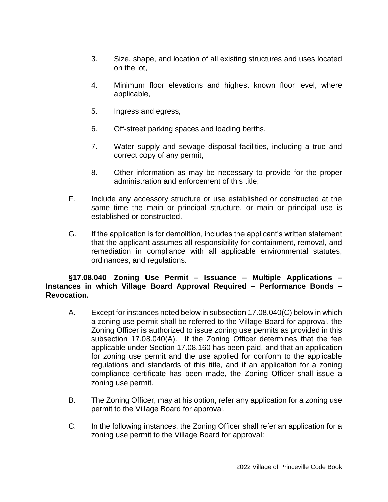- 3. Size, shape, and location of all existing structures and uses located on the lot,
- 4. Minimum floor elevations and highest known floor level, where applicable,
- 5. Ingress and egress,
- 6. Off-street parking spaces and loading berths,
- 7. Water supply and sewage disposal facilities, including a true and correct copy of any permit,
- 8. Other information as may be necessary to provide for the proper administration and enforcement of this title;
- F. Include any accessory structure or use established or constructed at the same time the main or principal structure, or main or principal use is established or constructed.
- G. If the application is for demolition, includes the applicant's written statement that the applicant assumes all responsibility for containment, removal, and remediation in compliance with all applicable environmental statutes, ordinances, and regulations.

#### **§17.08.040 Zoning Use Permit – Issuance – Multiple Applications – Instances in which Village Board Approval Required – Performance Bonds – Revocation.**

- A. Except for instances noted below in subsection 17.08.040(C) below in which a zoning use permit shall be referred to the Village Board for approval, the Zoning Officer is authorized to issue zoning use permits as provided in this subsection 17.08.040(A). If the Zoning Officer determines that the fee applicable under Section 17.08.160 has been paid, and that an application for zoning use permit and the use applied for conform to the applicable regulations and standards of this title, and if an application for a zoning compliance certificate has been made, the Zoning Officer shall issue a zoning use permit.
- B. The Zoning Officer, may at his option, refer any application for a zoning use permit to the Village Board for approval.
- C. In the following instances, the Zoning Officer shall refer an application for a zoning use permit to the Village Board for approval: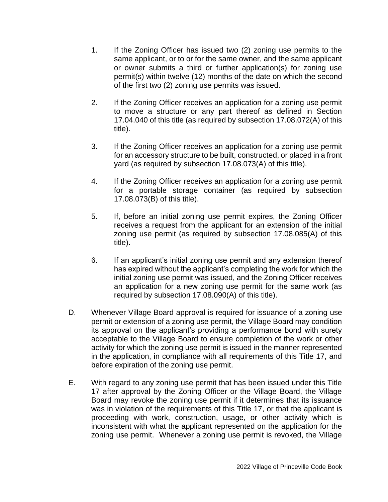- 1. If the Zoning Officer has issued two (2) zoning use permits to the same applicant, or to or for the same owner, and the same applicant or owner submits a third or further application(s) for zoning use permit(s) within twelve (12) months of the date on which the second of the first two (2) zoning use permits was issued.
- 2. If the Zoning Officer receives an application for a zoning use permit to move a structure or any part thereof as defined in Section 17.04.040 of this title (as required by subsection 17.08.072(A) of this title).
- 3. If the Zoning Officer receives an application for a zoning use permit for an accessory structure to be built, constructed, or placed in a front yard (as required by subsection 17.08.073(A) of this title).
- 4. If the Zoning Officer receives an application for a zoning use permit for a portable storage container (as required by subsection 17.08.073(B) of this title).
- 5. If, before an initial zoning use permit expires, the Zoning Officer receives a request from the applicant for an extension of the initial zoning use permit (as required by subsection 17.08.085(A) of this title).
- 6. If an applicant's initial zoning use permit and any extension thereof has expired without the applicant's completing the work for which the initial zoning use permit was issued, and the Zoning Officer receives an application for a new zoning use permit for the same work (as required by subsection 17.08.090(A) of this title).
- D. Whenever Village Board approval is required for issuance of a zoning use permit or extension of a zoning use permit, the Village Board may condition its approval on the applicant's providing a performance bond with surety acceptable to the Village Board to ensure completion of the work or other activity for which the zoning use permit is issued in the manner represented in the application, in compliance with all requirements of this Title 17, and before expiration of the zoning use permit.
- E. With regard to any zoning use permit that has been issued under this Title 17 after approval by the Zoning Officer or the Village Board, the Village Board may revoke the zoning use permit if it determines that its issuance was in violation of the requirements of this Title 17, or that the applicant is proceeding with work, construction, usage, or other activity which is inconsistent with what the applicant represented on the application for the zoning use permit. Whenever a zoning use permit is revoked, the Village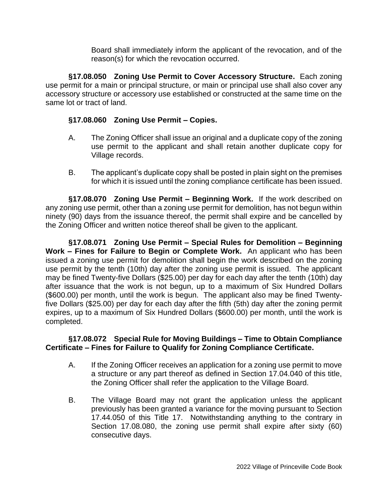Board shall immediately inform the applicant of the revocation, and of the reason(s) for which the revocation occurred.

**§17.08.050 Zoning Use Permit to Cover Accessory Structure.** Each zoning use permit for a main or principal structure, or main or principal use shall also cover any accessory structure or accessory use established or constructed at the same time on the same lot or tract of land.

## **§17.08.060 Zoning Use Permit – Copies.**

- A. The Zoning Officer shall issue an original and a duplicate copy of the zoning use permit to the applicant and shall retain another duplicate copy for Village records.
- B. The applicant's duplicate copy shall be posted in plain sight on the premises for which it is issued until the zoning compliance certificate has been issued.

**§17.08.070 Zoning Use Permit – Beginning Work.** If the work described on any zoning use permit, other than a zoning use permit for demolition, has not begun within ninety (90) days from the issuance thereof, the permit shall expire and be cancelled by the Zoning Officer and written notice thereof shall be given to the applicant.

**§17.08.071 Zoning Use Permit – Special Rules for Demolition – Beginning Work – Fines for Failure to Begin or Complete Work.** An applicant who has been issued a zoning use permit for demolition shall begin the work described on the zoning use permit by the tenth (10th) day after the zoning use permit is issued. The applicant may be fined Twenty-five Dollars (\$25.00) per day for each day after the tenth (10th) day after issuance that the work is not begun, up to a maximum of Six Hundred Dollars (\$600.00) per month, until the work is begun. The applicant also may be fined Twentyfive Dollars (\$25.00) per day for each day after the fifth (5th) day after the zoning permit expires, up to a maximum of Six Hundred Dollars (\$600.00) per month, until the work is completed.

## **§17.08.072 Special Rule for Moving Buildings – Time to Obtain Compliance Certificate – Fines for Failure to Qualify for Zoning Compliance Certificate.**

- A. If the Zoning Officer receives an application for a zoning use permit to move a structure or any part thereof as defined in Section 17.04.040 of this title, the Zoning Officer shall refer the application to the Village Board.
- B. The Village Board may not grant the application unless the applicant previously has been granted a variance for the moving pursuant to Section 17.44.050 of this Title 17. Notwithstanding anything to the contrary in Section 17.08.080, the zoning use permit shall expire after sixty (60) consecutive days.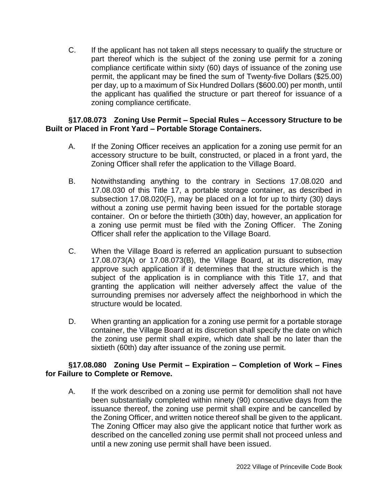C. If the applicant has not taken all steps necessary to qualify the structure or part thereof which is the subject of the zoning use permit for a zoning compliance certificate within sixty (60) days of issuance of the zoning use permit, the applicant may be fined the sum of Twenty-five Dollars (\$25.00) per day, up to a maximum of Six Hundred Dollars (\$600.00) per month, until the applicant has qualified the structure or part thereof for issuance of a zoning compliance certificate.

### **§17.08.073 Zoning Use Permit – Special Rules – Accessory Structure to be Built or Placed in Front Yard – Portable Storage Containers.**

- A. If the Zoning Officer receives an application for a zoning use permit for an accessory structure to be built, constructed, or placed in a front yard, the Zoning Officer shall refer the application to the Village Board.
- B. Notwithstanding anything to the contrary in Sections 17.08.020 and 17.08.030 of this Title 17, a portable storage container, as described in subsection 17.08.020(F), may be placed on a lot for up to thirty (30) days without a zoning use permit having been issued for the portable storage container. On or before the thirtieth (30th) day, however, an application for a zoning use permit must be filed with the Zoning Officer. The Zoning Officer shall refer the application to the Village Board.
- C. When the Village Board is referred an application pursuant to subsection 17.08.073(A) or 17.08.073(B), the Village Board, at its discretion, may approve such application if it determines that the structure which is the subject of the application is in compliance with this Title 17, and that granting the application will neither adversely affect the value of the surrounding premises nor adversely affect the neighborhood in which the structure would be located.
- D. When granting an application for a zoning use permit for a portable storage container, the Village Board at its discretion shall specify the date on which the zoning use permit shall expire, which date shall be no later than the sixtieth (60th) day after issuance of the zoning use permit.

#### **§17.08.080 Zoning Use Permit – Expiration – Completion of Work – Fines for Failure to Complete or Remove.**

A. If the work described on a zoning use permit for demolition shall not have been substantially completed within ninety (90) consecutive days from the issuance thereof, the zoning use permit shall expire and be cancelled by the Zoning Officer, and written notice thereof shall be given to the applicant. The Zoning Officer may also give the applicant notice that further work as described on the cancelled zoning use permit shall not proceed unless and until a new zoning use permit shall have been issued.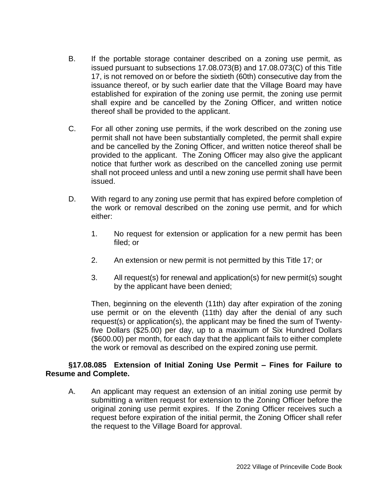- B. If the portable storage container described on a zoning use permit, as issued pursuant to subsections 17.08.073(B) and 17.08.073(C) of this Title 17, is not removed on or before the sixtieth (60th) consecutive day from the issuance thereof, or by such earlier date that the Village Board may have established for expiration of the zoning use permit, the zoning use permit shall expire and be cancelled by the Zoning Officer, and written notice thereof shall be provided to the applicant.
- C. For all other zoning use permits, if the work described on the zoning use permit shall not have been substantially completed, the permit shall expire and be cancelled by the Zoning Officer, and written notice thereof shall be provided to the applicant. The Zoning Officer may also give the applicant notice that further work as described on the cancelled zoning use permit shall not proceed unless and until a new zoning use permit shall have been issued.
- D. With regard to any zoning use permit that has expired before completion of the work or removal described on the zoning use permit, and for which either:
	- 1. No request for extension or application for a new permit has been filed; or
	- 2. An extension or new permit is not permitted by this Title 17; or
	- 3. All request(s) for renewal and application(s) for new permit(s) sought by the applicant have been denied;

Then, beginning on the eleventh (11th) day after expiration of the zoning use permit or on the eleventh (11th) day after the denial of any such request(s) or application(s), the applicant may be fined the sum of Twentyfive Dollars (\$25.00) per day, up to a maximum of Six Hundred Dollars (\$600.00) per month, for each day that the applicant fails to either complete the work or removal as described on the expired zoning use permit.

#### **§17.08.085 Extension of Initial Zoning Use Permit – Fines for Failure to Resume and Complete.**

A. An applicant may request an extension of an initial zoning use permit by submitting a written request for extension to the Zoning Officer before the original zoning use permit expires. If the Zoning Officer receives such a request before expiration of the initial permit, the Zoning Officer shall refer the request to the Village Board for approval.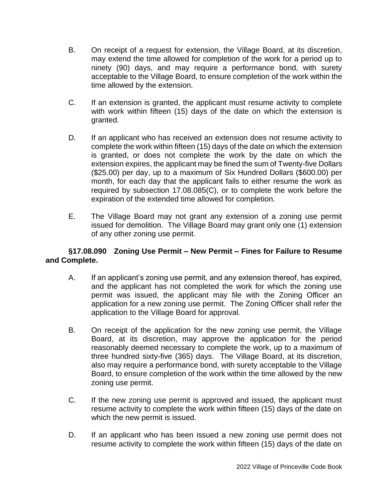- B. On receipt of a request for extension, the Village Board, at its discretion, may extend the time allowed for completion of the work for a period up to ninety (90) days, and may require a performance bond, with surety acceptable to the Village Board, to ensure completion of the work within the time allowed by the extension.
- C. If an extension is granted, the applicant must resume activity to complete with work within fifteen (15) days of the date on which the extension is granted.
- D. If an applicant who has received an extension does not resume activity to complete the work within fifteen (15) days of the date on which the extension is granted, or does not complete the work by the date on which the extension expires, the applicant may be fined the sum of Twenty-five Dollars (\$25.00) per day, up to a maximum of Six Hundred Dollars (\$600.00) per month, for each day that the applicant fails to either resume the work as required by subsection 17.08.085(C), or to complete the work before the expiration of the extended time allowed for completion.
- E. The Village Board may not grant any extension of a zoning use permit issued for demolition. The Village Board may grant only one (1) extension of any other zoning use permit.

#### **§17.08.090 Zoning Use Permit – New Permit – Fines for Failure to Resume and Complete.**

- A. If an applicant's zoning use permit, and any extension thereof, has expired, and the applicant has not completed the work for which the zoning use permit was issued, the applicant may file with the Zoning Officer an application for a new zoning use permit. The Zoning Officer shall refer the application to the Village Board for approval.
- B. On receipt of the application for the new zoning use permit, the Village Board, at its discretion, may approve the application for the period reasonably deemed necessary to complete the work, up to a maximum of three hundred sixty-five (365) days. The Village Board, at its discretion, also may require a performance bond, with surety acceptable to the Village Board, to ensure completion of the work within the time allowed by the new zoning use permit.
- C. If the new zoning use permit is approved and issued, the applicant must resume activity to complete the work within fifteen (15) days of the date on which the new permit is issued.
- D. If an applicant who has been issued a new zoning use permit does not resume activity to complete the work within fifteen (15) days of the date on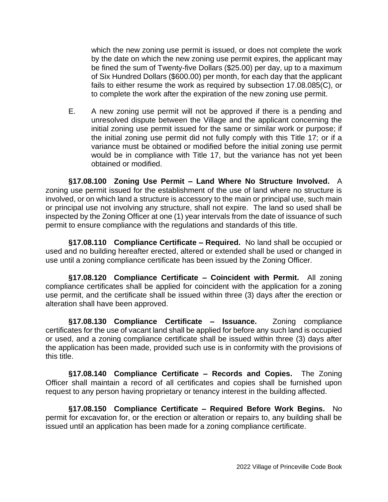which the new zoning use permit is issued, or does not complete the work by the date on which the new zoning use permit expires, the applicant may be fined the sum of Twenty-five Dollars (\$25.00) per day, up to a maximum of Six Hundred Dollars (\$600.00) per month, for each day that the applicant fails to either resume the work as required by subsection 17.08.085(C), or to complete the work after the expiration of the new zoning use permit.

E. A new zoning use permit will not be approved if there is a pending and unresolved dispute between the Village and the applicant concerning the initial zoning use permit issued for the same or similar work or purpose; if the initial zoning use permit did not fully comply with this Title 17; or if a variance must be obtained or modified before the initial zoning use permit would be in compliance with Title 17, but the variance has not yet been obtained or modified.

**§17.08.100 Zoning Use Permit – Land Where No Structure Involved.** A zoning use permit issued for the establishment of the use of land where no structure is involved, or on which land a structure is accessory to the main or principal use, such main or principal use not involving any structure, shall not expire. The land so used shall be inspected by the Zoning Officer at one (1) year intervals from the date of issuance of such permit to ensure compliance with the regulations and standards of this title.

**§17.08.110 Compliance Certificate – Required.** No land shall be occupied or used and no building hereafter erected, altered or extended shall be used or changed in use until a zoning compliance certificate has been issued by the Zoning Officer.

**§17.08.120 Compliance Certificate – Coincident with Permit.** All zoning compliance certificates shall be applied for coincident with the application for a zoning use permit, and the certificate shall be issued within three (3) days after the erection or alteration shall have been approved.

**§17.08.130 Compliance Certificate – Issuance.** Zoning compliance certificates for the use of vacant land shall be applied for before any such land is occupied or used, and a zoning compliance certificate shall be issued within three (3) days after the application has been made, provided such use is in conformity with the provisions of this title.

**§17.08.140 Compliance Certificate – Records and Copies.** The Zoning Officer shall maintain a record of all certificates and copies shall be furnished upon request to any person having proprietary or tenancy interest in the building affected.

**§17.08.150 Compliance Certificate – Required Before Work Begins.** No permit for excavation for, or the erection or alteration or repairs to, any building shall be issued until an application has been made for a zoning compliance certificate.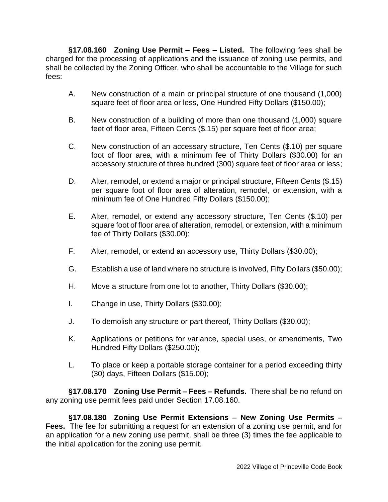**§17.08.160 Zoning Use Permit – Fees – Listed.** The following fees shall be charged for the processing of applications and the issuance of zoning use permits, and shall be collected by the Zoning Officer, who shall be accountable to the Village for such fees:

- A. New construction of a main or principal structure of one thousand (1,000) square feet of floor area or less, One Hundred Fifty Dollars (\$150.00);
- B. New construction of a building of more than one thousand (1,000) square feet of floor area, Fifteen Cents (\$.15) per square feet of floor area;
- C. New construction of an accessary structure, Ten Cents (\$.10) per square foot of floor area, with a minimum fee of Thirty Dollars (\$30.00) for an accessory structure of three hundred (300) square feet of floor area or less;
- D. Alter, remodel, or extend a major or principal structure, Fifteen Cents (\$.15) per square foot of floor area of alteration, remodel, or extension, with a minimum fee of One Hundred Fifty Dollars (\$150.00);
- E. Alter, remodel, or extend any accessory structure, Ten Cents (\$.10) per square foot of floor area of alteration, remodel, or extension, with a minimum fee of Thirty Dollars (\$30.00);
- F. Alter, remodel, or extend an accessory use, Thirty Dollars (\$30.00);
- G. Establish a use of land where no structure is involved, Fifty Dollars (\$50.00);
- H. Move a structure from one lot to another, Thirty Dollars (\$30.00);
- I. Change in use, Thirty Dollars (\$30.00);
- J. To demolish any structure or part thereof, Thirty Dollars (\$30.00);
- K. Applications or petitions for variance, special uses, or amendments, Two Hundred Fifty Dollars (\$250.00);
- L. To place or keep a portable storage container for a period exceeding thirty (30) days, Fifteen Dollars (\$15.00);

**§17.08.170 Zoning Use Permit – Fees – Refunds.** There shall be no refund on any zoning use permit fees paid under Section 17.08.160.

**§17.08.180 Zoning Use Permit Extensions – New Zoning Use Permits – Fees.** The fee for submitting a request for an extension of a zoning use permit, and for an application for a new zoning use permit, shall be three (3) times the fee applicable to the initial application for the zoning use permit.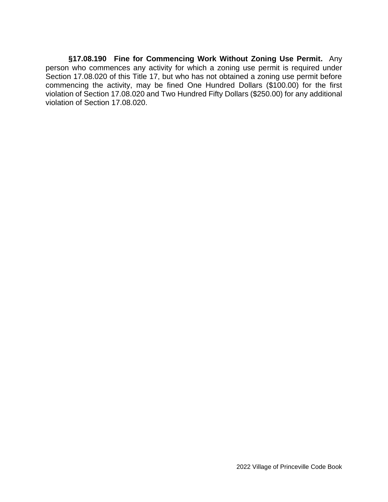**§17.08.190 Fine for Commencing Work Without Zoning Use Permit.** Any person who commences any activity for which a zoning use permit is required under Section 17.08.020 of this Title 17, but who has not obtained a zoning use permit before commencing the activity, may be fined One Hundred Dollars (\$100.00) for the first violation of Section 17.08.020 and Two Hundred Fifty Dollars (\$250.00) for any additional violation of Section 17.08.020.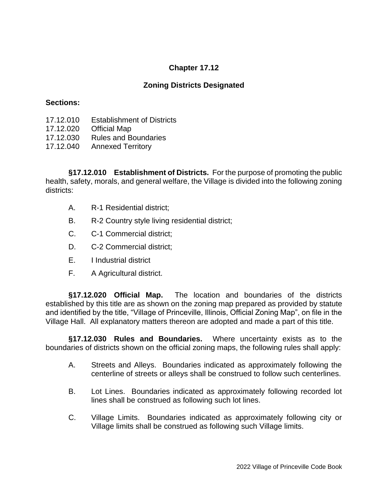## **Zoning Districts Designated**

### **Sections:**

- 17.12.010 Establishment of Districts
- 17.12.020 Official Map
- 17.12.030 Rules and Boundaries
- 17.12.040 Annexed Territory

**§17.12.010 Establishment of Districts.** For the purpose of promoting the public health, safety, morals, and general welfare, the Village is divided into the following zoning districts:

- A. R-1 Residential district;
- B. R-2 Country style living residential district;
- C. C-1 Commercial district;
- D. C-2 Commercial district;
- E. I Industrial district
- F. A Agricultural district.

**§17.12.020 Official Map.** The location and boundaries of the districts established by this title are as shown on the zoning map prepared as provided by statute and identified by the title, "Village of Princeville, Illinois, Official Zoning Map", on file in the Village Hall. All explanatory matters thereon are adopted and made a part of this title.

**§17.12.030 Rules and Boundaries.** Where uncertainty exists as to the boundaries of districts shown on the official zoning maps, the following rules shall apply:

- A. Streets and Alleys. Boundaries indicated as approximately following the centerline of streets or alleys shall be construed to follow such centerlines.
- B. Lot Lines. Boundaries indicated as approximately following recorded lot lines shall be construed as following such lot lines.
- C. Village Limits. Boundaries indicated as approximately following city or Village limits shall be construed as following such Village limits.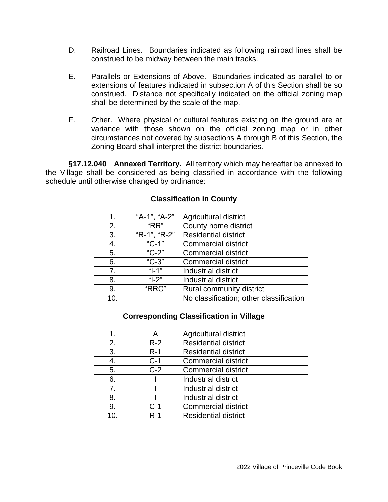- D. Railroad Lines. Boundaries indicated as following railroad lines shall be construed to be midway between the main tracks.
- E. Parallels or Extensions of Above. Boundaries indicated as parallel to or extensions of features indicated in subsection A of this Section shall be so construed. Distance not specifically indicated on the official zoning map shall be determined by the scale of the map.
- F. Other. Where physical or cultural features existing on the ground are at variance with those shown on the official zoning map or in other circumstances not covered by subsections A through B of this Section, the Zoning Board shall interpret the district boundaries.

**§17.12.040 Annexed Territory.** All territory which may hereafter be annexed to the Village shall be considered as being classified in accordance with the following schedule until otherwise changed by ordinance:

| 1.             | "A-1", "A-2" | <b>Agricultural district</b>            |
|----------------|--------------|-----------------------------------------|
| 2.             | "RR"         | County home district                    |
| 3.             | "R-1", "R-2" | <b>Residential district</b>             |
| 4.             | "C-1"        | <b>Commercial district</b>              |
| 5.             | "C-2"        | <b>Commercial district</b>              |
| 6.             | "C-3"        | <b>Commercial district</b>              |
| 7 <sub>1</sub> | $"I - 1"$    | Industrial district                     |
| 8.             | " $-2$ "     | Industrial district                     |
| 9.             | "RRC"        | Rural community district                |
| 10             |              | No classification; other classification |

#### **Classification in County**

#### **Corresponding Classification in Village**

|                | A       | <b>Agricultural district</b> |
|----------------|---------|------------------------------|
| 2.             | $R-2$   | <b>Residential district</b>  |
| 3.             | $R-1$   | <b>Residential district</b>  |
| 4.             | $C-1$   | <b>Commercial district</b>   |
| 5.             | $C-2$   | <b>Commercial district</b>   |
| 6.             |         | Industrial district          |
| 7 <sub>1</sub> |         | <b>Industrial district</b>   |
| 8.             |         | Industrial district          |
| 9.             | $C-1$   | <b>Commercial district</b>   |
|                | $R - 1$ | <b>Residential district</b>  |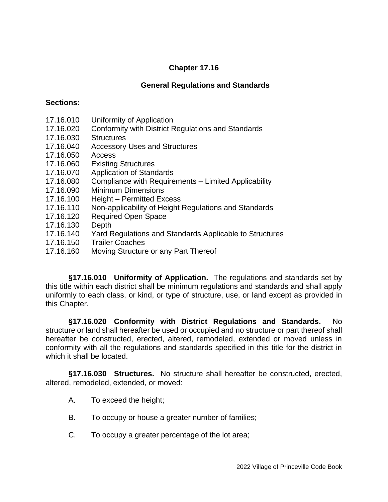### **General Regulations and Standards**

#### **Sections:**

- 17.16.010 Uniformity of Application
- 17.16.020 Conformity with District Regulations and Standards
- 17.16.030 Structures
- 17.16.040 Accessory Uses and Structures
- 17.16.050 Access
- 17.16.060 Existing Structures
- 17.16.070 Application of Standards
- 17.16.080 Compliance with Requirements Limited Applicability
- 17.16.090 Minimum Dimensions
- 17.16.100 Height Permitted Excess
- 17.16.110 Non-applicability of Height Regulations and Standards
- 17.16.120 Required Open Space
- 17.16.130 Depth
- 17.16.140 Yard Regulations and Standards Applicable to Structures
- 17.16.150 Trailer Coaches
- 17.16.160 Moving Structure or any Part Thereof

**§17.16.010 Uniformity of Application.** The regulations and standards set by this title within each district shall be minimum regulations and standards and shall apply uniformly to each class, or kind, or type of structure, use, or land except as provided in this Chapter.

**§17.16.020 Conformity with District Regulations and Standards.** No structure or land shall hereafter be used or occupied and no structure or part thereof shall hereafter be constructed, erected, altered, remodeled, extended or moved unless in conformity with all the regulations and standards specified in this title for the district in which it shall be located.

**§17.16.030 Structures.** No structure shall hereafter be constructed, erected, altered, remodeled, extended, or moved:

- A. To exceed the height;
- B. To occupy or house a greater number of families;
- C. To occupy a greater percentage of the lot area;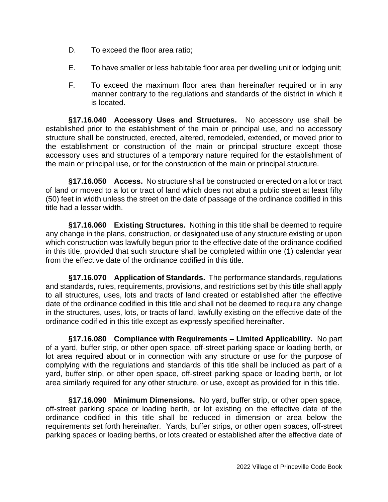- D. To exceed the floor area ratio;
- E. To have smaller or less habitable floor area per dwelling unit or lodging unit;
- F. To exceed the maximum floor area than hereinafter required or in any manner contrary to the regulations and standards of the district in which it is located.

**§17.16.040 Accessory Uses and Structures.** No accessory use shall be established prior to the establishment of the main or principal use, and no accessory structure shall be constructed, erected, altered, remodeled, extended, or moved prior to the establishment or construction of the main or principal structure except those accessory uses and structures of a temporary nature required for the establishment of the main or principal use, or for the construction of the main or principal structure.

**§17.16.050 Access.** No structure shall be constructed or erected on a lot or tract of land or moved to a lot or tract of land which does not abut a public street at least fifty (50) feet in width unless the street on the date of passage of the ordinance codified in this title had a lesser width.

**§17.16.060 Existing Structures.** Nothing in this title shall be deemed to require any change in the plans, construction, or designated use of any structure existing or upon which construction was lawfully begun prior to the effective date of the ordinance codified in this title, provided that such structure shall be completed within one (1) calendar year from the effective date of the ordinance codified in this title.

**§17.16.070 Application of Standards.** The performance standards, regulations and standards, rules, requirements, provisions, and restrictions set by this title shall apply to all structures, uses, lots and tracts of land created or established after the effective date of the ordinance codified in this title and shall not be deemed to require any change in the structures, uses, lots, or tracts of land, lawfully existing on the effective date of the ordinance codified in this title except as expressly specified hereinafter.

**§17.16.080 Compliance with Requirements – Limited Applicability.** No part of a yard, buffer strip, or other open space, off-street parking space or loading berth, or lot area required about or in connection with any structure or use for the purpose of complying with the regulations and standards of this title shall be included as part of a yard, buffer strip, or other open space, off-street parking space or loading berth, or lot area similarly required for any other structure, or use, except as provided for in this title.

**§17.16.090 Minimum Dimensions.** No yard, buffer strip, or other open space, off-street parking space or loading berth, or lot existing on the effective date of the ordinance codified in this title shall be reduced in dimension or area below the requirements set forth hereinafter. Yards, buffer strips, or other open spaces, off-street parking spaces or loading berths, or lots created or established after the effective date of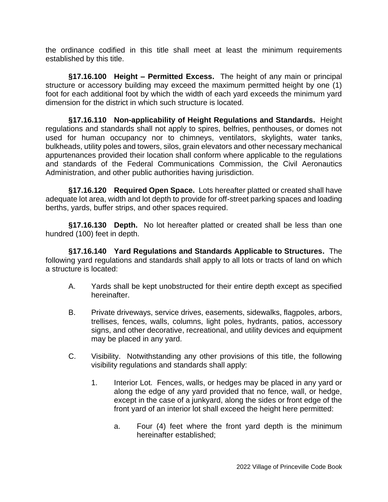the ordinance codified in this title shall meet at least the minimum requirements established by this title.

**§17.16.100 Height – Permitted Excess.** The height of any main or principal structure or accessory building may exceed the maximum permitted height by one (1) foot for each additional foot by which the width of each yard exceeds the minimum yard dimension for the district in which such structure is located.

**§17.16.110 Non-applicability of Height Regulations and Standards.** Height regulations and standards shall not apply to spires, belfries, penthouses, or domes not used for human occupancy nor to chimneys, ventilators, skylights, water tanks, bulkheads, utility poles and towers, silos, grain elevators and other necessary mechanical appurtenances provided their location shall conform where applicable to the regulations and standards of the Federal Communications Commission, the Civil Aeronautics Administration, and other public authorities having jurisdiction.

**§17.16.120 Required Open Space.** Lots hereafter platted or created shall have adequate lot area, width and lot depth to provide for off-street parking spaces and loading berths, yards, buffer strips, and other spaces required.

**§17.16.130 Depth.** No lot hereafter platted or created shall be less than one hundred (100) feet in depth.

**§17.16.140 Yard Regulations and Standards Applicable to Structures.** The following yard regulations and standards shall apply to all lots or tracts of land on which a structure is located:

- A. Yards shall be kept unobstructed for their entire depth except as specified hereinafter.
- B. Private driveways, service drives, easements, sidewalks, flagpoles, arbors, trellises, fences, walls, columns, light poles, hydrants, patios, accessory signs, and other decorative, recreational, and utility devices and equipment may be placed in any yard.
- C. Visibility. Notwithstanding any other provisions of this title, the following visibility regulations and standards shall apply:
	- 1. Interior Lot. Fences, walls, or hedges may be placed in any yard or along the edge of any yard provided that no fence, wall, or hedge, except in the case of a junkyard, along the sides or front edge of the front yard of an interior lot shall exceed the height here permitted:
		- a. Four (4) feet where the front yard depth is the minimum hereinafter established;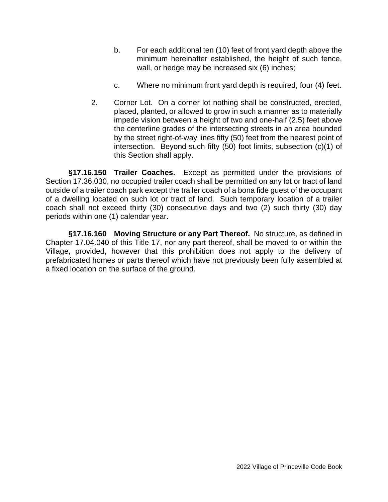- b. For each additional ten (10) feet of front yard depth above the minimum hereinafter established, the height of such fence, wall, or hedge may be increased six (6) inches;
- c. Where no minimum front yard depth is required, four (4) feet.
- 2. Corner Lot. On a corner lot nothing shall be constructed, erected, placed, planted, or allowed to grow in such a manner as to materially impede vision between a height of two and one-half (2.5) feet above the centerline grades of the intersecting streets in an area bounded by the street right-of-way lines fifty (50) feet from the nearest point of intersection. Beyond such fifty (50) foot limits, subsection (c)(1) of this Section shall apply.

**§17.16.150 Trailer Coaches.** Except as permitted under the provisions of Section 17.36.030, no occupied trailer coach shall be permitted on any lot or tract of land outside of a trailer coach park except the trailer coach of a bona fide guest of the occupant of a dwelling located on such lot or tract of land. Such temporary location of a trailer coach shall not exceed thirty (30) consecutive days and two (2) such thirty (30) day periods within one (1) calendar year.

**§17.16.160 Moving Structure or any Part Thereof.** No structure, as defined in Chapter 17.04.040 of this Title 17, nor any part thereof, shall be moved to or within the Village, provided, however that this prohibition does not apply to the delivery of prefabricated homes or parts thereof which have not previously been fully assembled at a fixed location on the surface of the ground.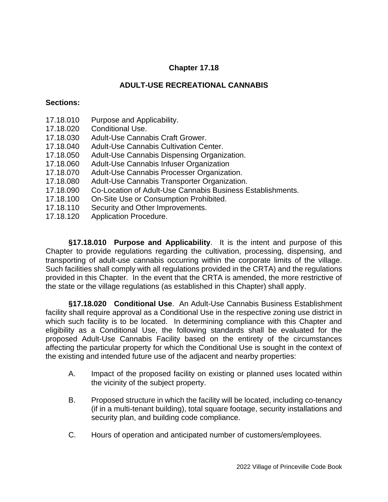## **ADULT-USE RECREATIONAL CANNABIS**

#### **Sections:**

- 17.18.010 Purpose and Applicability.
- 17.18.020 Conditional Use.
- 17.18.030 Adult-Use Cannabis Craft Grower.
- 17.18.040 Adult-Use Cannabis Cultivation Center.
- 17.18.050 Adult-Use Cannabis Dispensing Organization.
- 17.18.060 Adult-Use Cannabis Infuser Organization
- 17.18.070 Adult-Use Cannabis Processer Organization.
- 17.18.080 Adult-Use Cannabis Transporter Organization.
- 17.18.090 Co-Location of Adult-Use Cannabis Business Establishments.
- 17.18.100 On-Site Use or Consumption Prohibited.
- 17.18.110 Security and Other Improvements.
- 17.18.120 Application Procedure.

**§17.18.010 Purpose and Applicability**. It is the intent and purpose of this Chapter to provide regulations regarding the cultivation, processing, dispensing, and transporting of adult-use cannabis occurring within the corporate limits of the village. Such facilities shall comply with all regulations provided in the CRTA) and the regulations provided in this Chapter. In the event that the CRTA is amended, the more restrictive of the state or the village regulations (as established in this Chapter) shall apply.

**§17.18.020 Conditional Use**. An Adult-Use Cannabis Business Establishment facility shall require approval as a Conditional Use in the respective zoning use district in which such facility is to be located. In determining compliance with this Chapter and eligibility as a Conditional Use, the following standards shall be evaluated for the proposed Adult-Use Cannabis Facility based on the entirety of the circumstances affecting the particular property for which the Conditional Use is sought in the context of the existing and intended future use of the adjacent and nearby properties:

- A. Impact of the proposed facility on existing or planned uses located within the vicinity of the subject property.
- B. Proposed structure in which the facility will be located, including co-tenancy (if in a multi-tenant building), total square footage, security installations and security plan, and building code compliance.
- C. Hours of operation and anticipated number of customers/employees.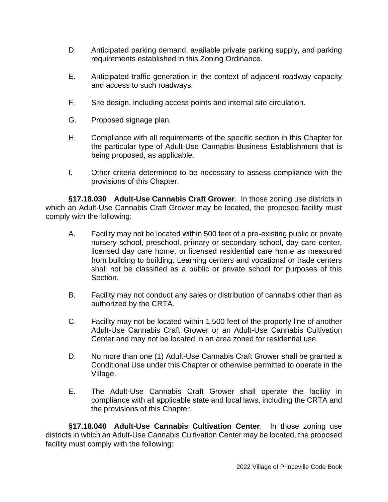- D. Anticipated parking demand, available private parking supply, and parking requirements established in this Zoning Ordinance.
- E. Anticipated traffic generation in the context of adjacent roadway capacity and access to such roadways.
- F. Site design, including access points and internal site circulation.
- G. Proposed signage plan.
- H. Compliance with all requirements of the specific section in this Chapter for the particular type of Adult-Use Cannabis Business Establishment that is being proposed, as applicable.
- I. Other criteria determined to be necessary to assess compliance with the provisions of this Chapter.

**§17.18.030 Adult-Use Cannabis Craft Grower**. In those zoning use districts in which an Adult-Use Cannabis Craft Grower may be located, the proposed facility must comply with the following:

- A. Facility may not be located within 500 feet of a pre-existing public or private nursery school, preschool, primary or secondary school, day care center, licensed day care home, or licensed residential care home as measured from building to building. Learning centers and vocational or trade centers shall not be classified as a public or private school for purposes of this Section.
- B. Facility may not conduct any sales or distribution of cannabis other than as authorized by the CRTA.
- C. Facility may not be located within 1,500 feet of the property line of another Adult-Use Cannabis Craft Grower or an Adult-Use Cannabis Cultivation Center and may not be located in an area zoned for residential use.
- D. No more than one (1) Adult-Use Cannabis Craft Grower shall be granted a Conditional Use under this Chapter or otherwise permitted to operate in the Village.
- E. The Adult-Use Cannabis Craft Grower shall operate the facility in compliance with all applicable state and local laws, including the CRTA and the provisions of this Chapter.

**§17.18.040 Adult-Use Cannabis Cultivation Center**. In those zoning use districts in which an Adult-Use Cannabis Cultivation Center may be located, the proposed facility must comply with the following: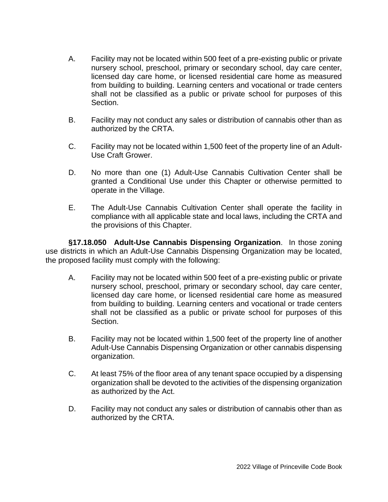- A. Facility may not be located within 500 feet of a pre-existing public or private nursery school, preschool, primary or secondary school, day care center, licensed day care home, or licensed residential care home as measured from building to building. Learning centers and vocational or trade centers shall not be classified as a public or private school for purposes of this Section.
- B. Facility may not conduct any sales or distribution of cannabis other than as authorized by the CRTA.
- C. Facility may not be located within 1,500 feet of the property line of an Adult-Use Craft Grower.
- D. No more than one (1) Adult-Use Cannabis Cultivation Center shall be granted a Conditional Use under this Chapter or otherwise permitted to operate in the Village.
- E. The Adult-Use Cannabis Cultivation Center shall operate the facility in compliance with all applicable state and local laws, including the CRTA and the provisions of this Chapter.

**§17.18.050 Adult-Use Cannabis Dispensing Organization**. In those zoning use districts in which an Adult-Use Cannabis Dispensing Organization may be located, the proposed facility must comply with the following:

- A. Facility may not be located within 500 feet of a pre-existing public or private nursery school, preschool, primary or secondary school, day care center, licensed day care home, or licensed residential care home as measured from building to building. Learning centers and vocational or trade centers shall not be classified as a public or private school for purposes of this Section.
- B. Facility may not be located within 1,500 feet of the property line of another Adult-Use Cannabis Dispensing Organization or other cannabis dispensing organization.
- C. At least 75% of the floor area of any tenant space occupied by a dispensing organization shall be devoted to the activities of the dispensing organization as authorized by the Act.
- D. Facility may not conduct any sales or distribution of cannabis other than as authorized by the CRTA.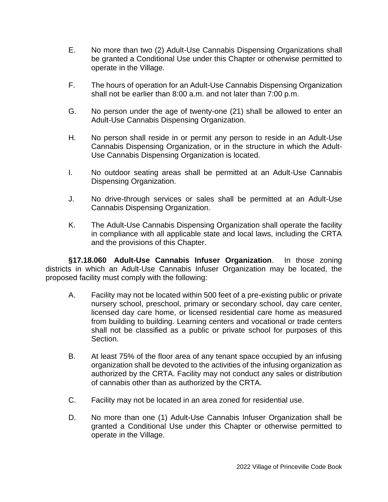- E. No more than two (2) Adult-Use Cannabis Dispensing Organizations shall be granted a Conditional Use under this Chapter or otherwise permitted to operate in the Village.
- F. The hours of operation for an Adult-Use Cannabis Dispensing Organization shall not be earlier than 8:00 a.m. and not later than 7:00 p.m.
- G. No person under the age of twenty-one (21) shall be allowed to enter an Adult-Use Cannabis Dispensing Organization.
- H. No person shall reside in or permit any person to reside in an Adult-Use Cannabis Dispensing Organization, or in the structure in which the Adult-Use Cannabis Dispensing Organization is located.
- I. No outdoor seating areas shall be permitted at an Adult-Use Cannabis Dispensing Organization.
- J. No drive-through services or sales shall be permitted at an Adult-Use Cannabis Dispensing Organization.
- K. The Adult-Use Cannabis Dispensing Organization shall operate the facility in compliance with all applicable state and local laws, including the CRTA and the provisions of this Chapter.

**§17.18.060 Adult-Use Cannabis Infuser Organization**. In those zoning districts in which an Adult-Use Cannabis Infuser Organization may be located, the proposed facility must comply with the following:

- A. Facility may not be located within 500 feet of a pre-existing public or private nursery school, preschool, primary or secondary school, day care center, licensed day care home, or licensed residential care home as measured from building to building. Learning centers and vocational or trade centers shall not be classified as a public or private school for purposes of this Section.
- B. At least 75% of the floor area of any tenant space occupied by an infusing organization shall be devoted to the activities of the infusing organization as authorized by the CRTA. Facility may not conduct any sales or distribution of cannabis other than as authorized by the CRTA.
- C. Facility may not be located in an area zoned for residential use.
- D. No more than one (1) Adult-Use Cannabis Infuser Organization shall be granted a Conditional Use under this Chapter or otherwise permitted to operate in the Village.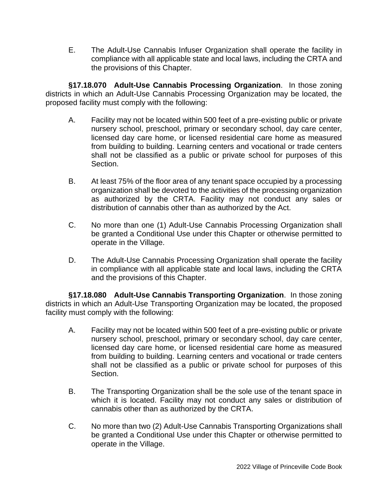E. The Adult-Use Cannabis Infuser Organization shall operate the facility in compliance with all applicable state and local laws, including the CRTA and the provisions of this Chapter.

**§17.18.070 Adult-Use Cannabis Processing Organization**. In those zoning districts in which an Adult-Use Cannabis Processing Organization may be located, the proposed facility must comply with the following:

- A. Facility may not be located within 500 feet of a pre-existing public or private nursery school, preschool, primary or secondary school, day care center, licensed day care home, or licensed residential care home as measured from building to building. Learning centers and vocational or trade centers shall not be classified as a public or private school for purposes of this Section.
- B. At least 75% of the floor area of any tenant space occupied by a processing organization shall be devoted to the activities of the processing organization as authorized by the CRTA. Facility may not conduct any sales or distribution of cannabis other than as authorized by the Act.
- C. No more than one (1) Adult-Use Cannabis Processing Organization shall be granted a Conditional Use under this Chapter or otherwise permitted to operate in the Village.
- D. The Adult-Use Cannabis Processing Organization shall operate the facility in compliance with all applicable state and local laws, including the CRTA and the provisions of this Chapter.

**§17.18.080 Adult-Use Cannabis Transporting Organization**. In those zoning districts in which an Adult-Use Transporting Organization may be located, the proposed facility must comply with the following:

- A. Facility may not be located within 500 feet of a pre-existing public or private nursery school, preschool, primary or secondary school, day care center, licensed day care home, or licensed residential care home as measured from building to building. Learning centers and vocational or trade centers shall not be classified as a public or private school for purposes of this Section.
- B. The Transporting Organization shall be the sole use of the tenant space in which it is located. Facility may not conduct any sales or distribution of cannabis other than as authorized by the CRTA.
- C. No more than two (2) Adult-Use Cannabis Transporting Organizations shall be granted a Conditional Use under this Chapter or otherwise permitted to operate in the Village.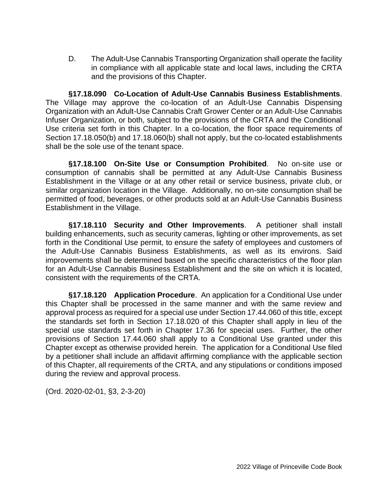D. The Adult-Use Cannabis Transporting Organization shall operate the facility in compliance with all applicable state and local laws, including the CRTA and the provisions of this Chapter.

**§17.18.090 Co-Location of Adult-Use Cannabis Business Establishments**. The Village may approve the co-location of an Adult-Use Cannabis Dispensing Organization with an Adult-Use Cannabis Craft Grower Center or an Adult-Use Cannabis Infuser Organization, or both, subject to the provisions of the CRTA and the Conditional Use criteria set forth in this Chapter. In a co-location, the floor space requirements of Section 17.18.050(b) and 17.18.060(b) shall not apply, but the co-located establishments shall be the sole use of the tenant space.

**§17.18.100 On-Site Use or Consumption Prohibited**. No on-site use or consumption of cannabis shall be permitted at any Adult-Use Cannabis Business Establishment in the Village or at any other retail or service business, private club, or similar organization location in the Village. Additionally, no on-site consumption shall be permitted of food, beverages, or other products sold at an Adult-Use Cannabis Business Establishment in the Village.

**§17.18.110 Security and Other Improvements**. A petitioner shall install building enhancements, such as security cameras, lighting or other improvements, as set forth in the Conditional Use permit, to ensure the safety of employees and customers of the Adult-Use Cannabis Business Establishments, as well as its environs. Said improvements shall be determined based on the specific characteristics of the floor plan for an Adult-Use Cannabis Business Establishment and the site on which it is located, consistent with the requirements of the CRTA.

**§17.18.120 Application Procedure**. An application for a Conditional Use under this Chapter shall be processed in the same manner and with the same review and approval process as required for a special use under Section 17.44.060 of this title, except the standards set forth in Section 17.18.020 of this Chapter shall apply in lieu of the special use standards set forth in Chapter 17.36 for special uses. Further, the other provisions of Section 17.44.060 shall apply to a Conditional Use granted under this Chapter except as otherwise provided herein. The application for a Conditional Use filed by a petitioner shall include an affidavit affirming compliance with the applicable section of this Chapter, all requirements of the CRTA, and any stipulations or conditions imposed during the review and approval process.

(Ord. 2020-02-01, §3, 2-3-20)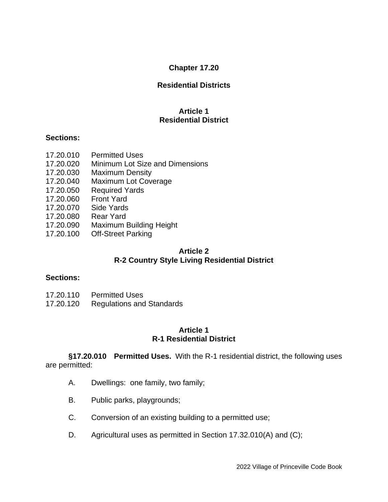### **Residential Districts**

#### **Article 1 Residential District**

#### **Sections:**

- 17.20.010 Permitted Uses
- 17.20.020 Minimum Lot Size and Dimensions
- 17.20.030 Maximum Density
- 17.20.040 Maximum Lot Coverage
- 17.20.050 Required Yards
- 17.20.060 Front Yard
- 17.20.070 Side Yards
- 17.20.080 Rear Yard
- 17.20.090 Maximum Building Height
- 17.20.100 Off-Street Parking

### **Article 2 R-2 Country Style Living Residential District**

#### **Sections:**

- 17.20.110 Permitted Uses
- 17.20.120 Regulations and Standards

#### **Article 1 R-1 Residential District**

**§17.20.010 Permitted Uses.** With the R-1 residential district, the following uses are permitted:

- A. Dwellings: one family, two family;
- B. Public parks, playgrounds;
- C. Conversion of an existing building to a permitted use;
- D. Agricultural uses as permitted in Section 17.32.010(A) and (C);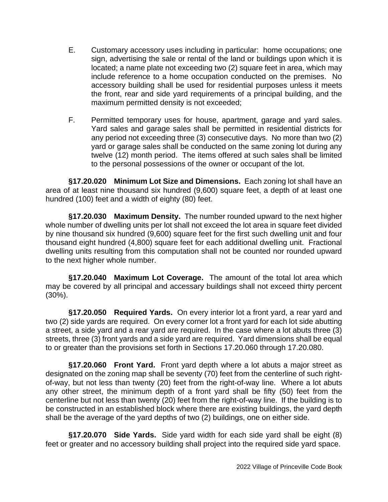- E. Customary accessory uses including in particular: home occupations; one sign, advertising the sale or rental of the land or buildings upon which it is located; a name plate not exceeding two (2) square feet in area, which may include reference to a home occupation conducted on the premises. No accessory building shall be used for residential purposes unless it meets the front, rear and side yard requirements of a principal building, and the maximum permitted density is not exceeded;
- F. Permitted temporary uses for house, apartment, garage and yard sales. Yard sales and garage sales shall be permitted in residential districts for any period not exceeding three (3) consecutive days. No more than two (2) yard or garage sales shall be conducted on the same zoning lot during any twelve (12) month period. The items offered at such sales shall be limited to the personal possessions of the owner or occupant of the lot.

**§17.20.020 Minimum Lot Size and Dimensions.** Each zoning lot shall have an area of at least nine thousand six hundred (9,600) square feet, a depth of at least one hundred (100) feet and a width of eighty (80) feet.

**§17.20.030 Maximum Density.** The number rounded upward to the next higher whole number of dwelling units per lot shall not exceed the lot area in square feet divided by nine thousand six hundred (9,600) square feet for the first such dwelling unit and four thousand eight hundred (4,800) square feet for each additional dwelling unit. Fractional dwelling units resulting from this computation shall not be counted nor rounded upward to the next higher whole number.

**§17.20.040 Maximum Lot Coverage.** The amount of the total lot area which may be covered by all principal and accessary buildings shall not exceed thirty percent (30%).

**§17.20.050 Required Yards.** On every interior lot a front yard, a rear yard and two (2) side yards are required. On every corner lot a front yard for each lot side abutting a street, a side yard and a rear yard are required. In the case where a lot abuts three (3) streets, three (3) front yards and a side yard are required. Yard dimensions shall be equal to or greater than the provisions set forth in Sections 17.20.060 through 17.20.080.

**§17.20.060 Front Yard.** Front yard depth where a lot abuts a major street as designated on the zoning map shall be seventy (70) feet from the centerline of such rightof-way, but not less than twenty (20) feet from the right-of-way line. Where a lot abuts any other street, the minimum depth of a front yard shall be fifty (50) feet from the centerline but not less than twenty (20) feet from the right-of-way line. If the building is to be constructed in an established block where there are existing buildings, the yard depth shall be the average of the yard depths of two (2) buildings, one on either side.

**§17.20.070 Side Yards.** Side yard width for each side yard shall be eight (8) feet or greater and no accessory building shall project into the required side yard space.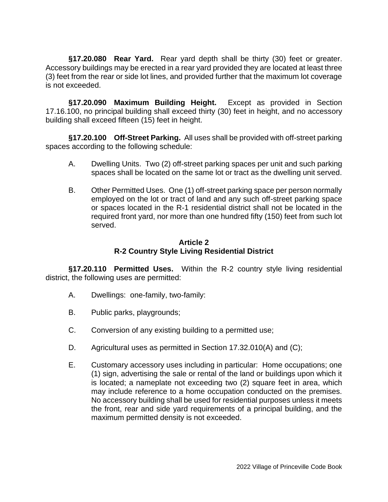**§17.20.080 Rear Yard.** Rear yard depth shall be thirty (30) feet or greater. Accessory buildings may be erected in a rear yard provided they are located at least three (3) feet from the rear or side lot lines, and provided further that the maximum lot coverage is not exceeded.

**§17.20.090 Maximum Building Height.** Except as provided in Section 17.16.100, no principal building shall exceed thirty (30) feet in height, and no accessory building shall exceed fifteen (15) feet in height.

**§17.20.100 Off-Street Parking.** All uses shall be provided with off-street parking spaces according to the following schedule:

- A. Dwelling Units. Two (2) off-street parking spaces per unit and such parking spaces shall be located on the same lot or tract as the dwelling unit served.
- B. Other Permitted Uses. One (1) off-street parking space per person normally employed on the lot or tract of land and any such off-street parking space or spaces located in the R-1 residential district shall not be located in the required front yard, nor more than one hundred fifty (150) feet from such lot served.

### **Article 2 R-2 Country Style Living Residential District**

**§17.20.110 Permitted Uses.** Within the R-2 country style living residential district, the following uses are permitted:

- A. Dwellings: one-family, two-family:
- B. Public parks, playgrounds;
- C. Conversion of any existing building to a permitted use;
- D. Agricultural uses as permitted in Section 17.32.010(A) and (C);
- E. Customary accessory uses including in particular: Home occupations; one (1) sign, advertising the sale or rental of the land or buildings upon which it is located; a nameplate not exceeding two (2) square feet in area, which may include reference to a home occupation conducted on the premises. No accessory building shall be used for residential purposes unless it meets the front, rear and side yard requirements of a principal building, and the maximum permitted density is not exceeded.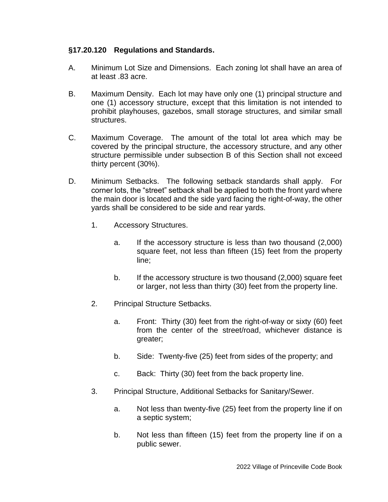### **§17.20.120 Regulations and Standards.**

- A. Minimum Lot Size and Dimensions. Each zoning lot shall have an area of at least .83 acre.
- B. Maximum Density. Each lot may have only one (1) principal structure and one (1) accessory structure, except that this limitation is not intended to prohibit playhouses, gazebos, small storage structures, and similar small structures.
- C. Maximum Coverage. The amount of the total lot area which may be covered by the principal structure, the accessory structure, and any other structure permissible under subsection B of this Section shall not exceed thirty percent (30%).
- D. Minimum Setbacks. The following setback standards shall apply. For corner lots, the "street" setback shall be applied to both the front yard where the main door is located and the side yard facing the right-of-way, the other yards shall be considered to be side and rear yards.
	- 1. Accessory Structures.
		- a. If the accessory structure is less than two thousand (2,000) square feet, not less than fifteen (15) feet from the property line;
		- b. If the accessory structure is two thousand (2,000) square feet or larger, not less than thirty (30) feet from the property line.
	- 2. Principal Structure Setbacks.
		- a. Front: Thirty (30) feet from the right-of-way or sixty (60) feet from the center of the street/road, whichever distance is greater;
		- b. Side: Twenty-five (25) feet from sides of the property; and
		- c. Back: Thirty (30) feet from the back property line.
	- 3. Principal Structure, Additional Setbacks for Sanitary/Sewer.
		- a. Not less than twenty-five (25) feet from the property line if on a septic system;
		- b. Not less than fifteen (15) feet from the property line if on a public sewer.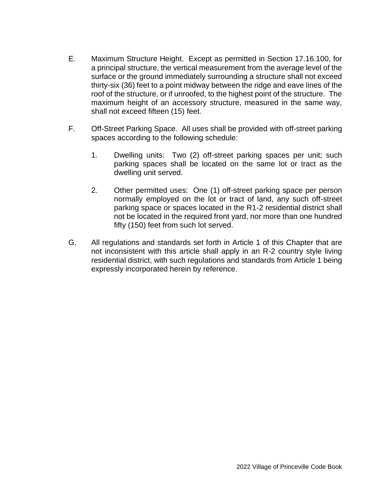- E. Maximum Structure Height. Except as permitted in Section 17.16.100, for a principal structure, the vertical measurement from the average level of the surface or the ground immediately surrounding a structure shall not exceed thirty-six (36) feet to a point midway between the ridge and eave lines of the roof of the structure, or if unroofed, to the highest point of the structure. The maximum height of an accessory structure, measured in the same way, shall not exceed fifteen (15) feet.
- F. Off-Street Parking Space. All uses shall be provided with off-street parking spaces according to the following schedule:
	- 1. Dwelling units: Two (2) off-street parking spaces per unit; such parking spaces shall be located on the same lot or tract as the dwelling unit served.
	- 2. Other permitted uses: One (1) off-street parking space per person normally employed on the lot or tract of land, any such off-street parking space or spaces located in the R1-2 residential district shall not be located in the required front yard, nor more than one hundred fifty (150) feet from such lot served.
- G. All regulations and standards set forth in Article 1 of this Chapter that are not inconsistent with this article shall apply in an R-2 country style living residential district, with such regulations and standards from Article 1 being expressly incorporated herein by reference.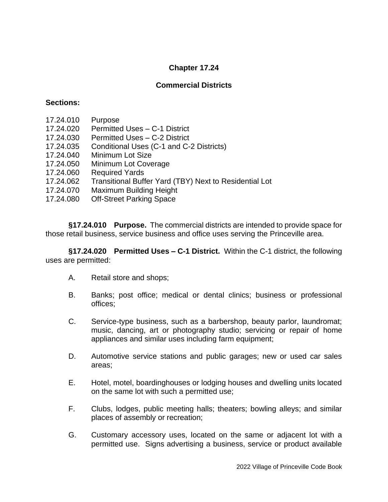### **Commercial Districts**

#### **Sections:**

- 17.24.010 Purpose
- 17.24.020 Permitted Uses C-1 District
- 17.24.030 Permitted Uses C-2 District
- 17.24.035 Conditional Uses (C-1 and C-2 Districts)
- 17.24.040 Minimum Lot Size
- 17.24.050 Minimum Lot Coverage
- 17.24.060 Required Yards
- 17.24.062 Transitional Buffer Yard (TBY) Next to Residential Lot
- 17.24.070 Maximum Building Height
- 17.24.080 Off-Street Parking Space

**§17.24.010 Purpose.** The commercial districts are intended to provide space for those retail business, service business and office uses serving the Princeville area.

**§17.24.020 Permitted Uses – C-1 District.** Within the C-1 district, the following uses are permitted:

- A. Retail store and shops;
- B. Banks; post office; medical or dental clinics; business or professional offices;
- C. Service-type business, such as a barbershop, beauty parlor, laundromat; music, dancing, art or photography studio; servicing or repair of home appliances and similar uses including farm equipment;
- D. Automotive service stations and public garages; new or used car sales areas;
- E. Hotel, motel, boardinghouses or lodging houses and dwelling units located on the same lot with such a permitted use;
- F. Clubs, lodges, public meeting halls; theaters; bowling alleys; and similar places of assembly or recreation;
- G. Customary accessory uses, located on the same or adjacent lot with a permitted use. Signs advertising a business, service or product available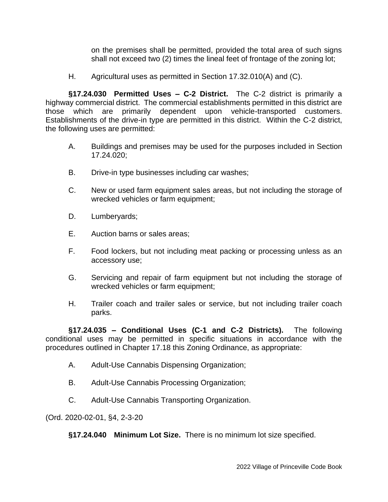on the premises shall be permitted, provided the total area of such signs shall not exceed two (2) times the lineal feet of frontage of the zoning lot;

H. Agricultural uses as permitted in Section 17.32.010(A) and (C).

**§17.24.030 Permitted Uses – C-2 District.** The C-2 district is primarily a highway commercial district. The commercial establishments permitted in this district are those which are primarily dependent upon vehicle-transported customers. Establishments of the drive-in type are permitted in this district. Within the C-2 district, the following uses are permitted:

- A. Buildings and premises may be used for the purposes included in Section 17.24.020;
- B. Drive-in type businesses including car washes;
- C. New or used farm equipment sales areas, but not including the storage of wrecked vehicles or farm equipment;
- D. Lumberyards;
- E. Auction barns or sales areas;
- F. Food lockers, but not including meat packing or processing unless as an accessory use;
- G. Servicing and repair of farm equipment but not including the storage of wrecked vehicles or farm equipment;
- H. Trailer coach and trailer sales or service, but not including trailer coach parks.

**§17.24.035 – Conditional Uses (C-1 and C-2 Districts).** The following conditional uses may be permitted in specific situations in accordance with the procedures outlined in Chapter 17.18 this Zoning Ordinance, as appropriate:

- A. Adult-Use Cannabis Dispensing Organization;
- B. Adult-Use Cannabis Processing Organization;
- C. Adult-Use Cannabis Transporting Organization.

(Ord. 2020-02-01, §4, 2-3-20

**§17.24.040 Minimum Lot Size.** There is no minimum lot size specified.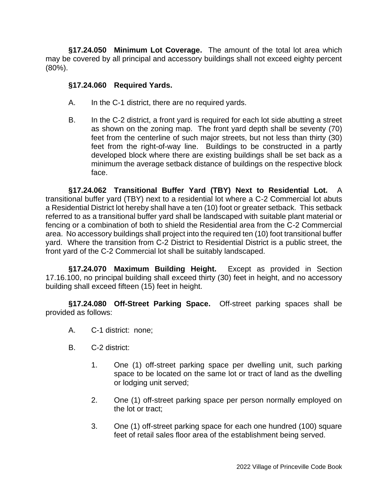**§17.24.050 Minimum Lot Coverage.** The amount of the total lot area which may be covered by all principal and accessory buildings shall not exceed eighty percent (80%).

### **§17.24.060 Required Yards.**

- A. In the C-1 district, there are no required yards.
- B. In the C-2 district, a front yard is required for each lot side abutting a street as shown on the zoning map. The front yard depth shall be seventy (70) feet from the centerline of such major streets, but not less than thirty (30) feet from the right-of-way line. Buildings to be constructed in a partly developed block where there are existing buildings shall be set back as a minimum the average setback distance of buildings on the respective block face.

**§17.24.062 Transitional Buffer Yard (TBY) Next to Residential Lot.** A transitional buffer yard (TBY) next to a residential lot where a C-2 Commercial lot abuts a Residential District lot hereby shall have a ten (10) foot or greater setback. This setback referred to as a transitional buffer yard shall be landscaped with suitable plant material or fencing or a combination of both to shield the Residential area from the C-2 Commercial area. No accessory buildings shall project into the required ten (10) foot transitional buffer yard. Where the transition from C-2 District to Residential District is a public street, the front yard of the C-2 Commercial lot shall be suitably landscaped.

**§17.24.070 Maximum Building Height.** Except as provided in Section 17.16.100, no principal building shall exceed thirty (30) feet in height, and no accessory building shall exceed fifteen (15) feet in height.

**§17.24.080 Off-Street Parking Space.** Off-street parking spaces shall be provided as follows:

- A. C-1 district: none;
- B. C-2 district:
	- 1. One (1) off-street parking space per dwelling unit, such parking space to be located on the same lot or tract of land as the dwelling or lodging unit served;
	- 2. One (1) off-street parking space per person normally employed on the lot or tract;
	- 3. One (1) off-street parking space for each one hundred (100) square feet of retail sales floor area of the establishment being served.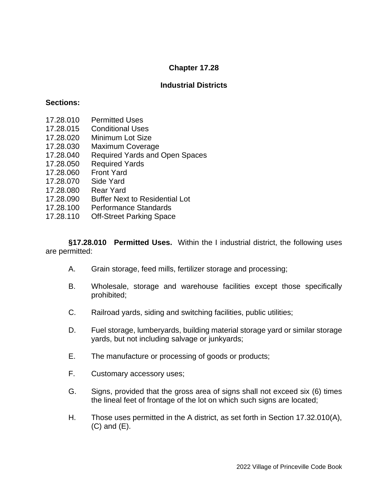### **Industrial Districts**

#### **Sections:**

- 17.28.010 Permitted Uses
- 17.28.015 Conditional Uses
- 17.28.020 Minimum Lot Size
- 17.28.030 Maximum Coverage
- 17.28.040 Required Yards and Open Spaces
- 17.28.050 Required Yards
- 17.28.060 Front Yard
- 17.28.070 Side Yard
- 17.28.080 Rear Yard
- 17.28.090 Buffer Next to Residential Lot
- 17.28.100 Performance Standards
- 17.28.110 Off-Street Parking Space

**§17.28.010 Permitted Uses.** Within the I industrial district, the following uses are permitted:

- A. Grain storage, feed mills, fertilizer storage and processing;
- B. Wholesale, storage and warehouse facilities except those specifically prohibited;
- C. Railroad yards, siding and switching facilities, public utilities;
- D. Fuel storage, lumberyards, building material storage yard or similar storage yards, but not including salvage or junkyards;
- E. The manufacture or processing of goods or products;
- F. Customary accessory uses;
- G. Signs, provided that the gross area of signs shall not exceed six (6) times the lineal feet of frontage of the lot on which such signs are located;
- H. Those uses permitted in the A district, as set forth in Section 17.32.010(A), (C) and (E).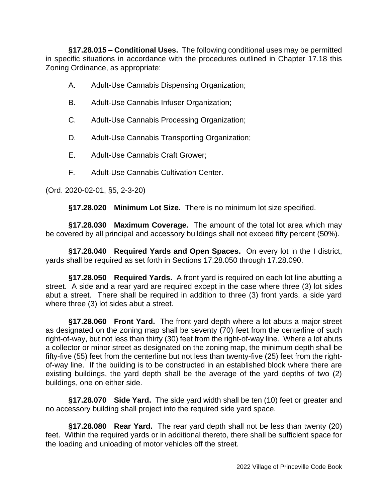**§17.28.015 – Conditional Uses.** The following conditional uses may be permitted in specific situations in accordance with the procedures outlined in Chapter 17.18 this Zoning Ordinance, as appropriate:

- A. Adult-Use Cannabis Dispensing Organization;
- B. Adult-Use Cannabis Infuser Organization;
- C. Adult-Use Cannabis Processing Organization;
- D. Adult-Use Cannabis Transporting Organization;
- E. Adult-Use Cannabis Craft Grower;
- F. Adult-Use Cannabis Cultivation Center.

(Ord. 2020-02-01, §5, 2-3-20)

**§17.28.020 Minimum Lot Size.** There is no minimum lot size specified.

**§17.28.030 Maximum Coverage.** The amount of the total lot area which may be covered by all principal and accessory buildings shall not exceed fifty percent (50%).

**§17.28.040 Required Yards and Open Spaces.** On every lot in the I district, yards shall be required as set forth in Sections 17.28.050 through 17.28.090.

**§17.28.050 Required Yards.** A front yard is required on each lot line abutting a street. A side and a rear yard are required except in the case where three (3) lot sides abut a street. There shall be required in addition to three (3) front yards, a side yard where three (3) lot sides abut a street.

**§17.28.060 Front Yard.** The front yard depth where a lot abuts a major street as designated on the zoning map shall be seventy (70) feet from the centerline of such right-of-way, but not less than thirty (30) feet from the right-of-way line. Where a lot abuts a collector or minor street as designated on the zoning map, the minimum depth shall be fifty-five (55) feet from the centerline but not less than twenty-five (25) feet from the rightof-way line. If the building is to be constructed in an established block where there are existing buildings, the yard depth shall be the average of the yard depths of two (2) buildings, one on either side.

**§17.28.070 Side Yard.** The side yard width shall be ten (10) feet or greater and no accessory building shall project into the required side yard space.

**§17.28.080 Rear Yard.** The rear yard depth shall not be less than twenty (20) feet. Within the required yards or in additional thereto, there shall be sufficient space for the loading and unloading of motor vehicles off the street.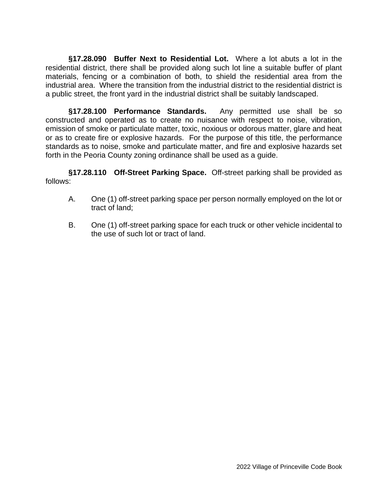**§17.28.090 Buffer Next to Residential Lot.** Where a lot abuts a lot in the residential district, there shall be provided along such lot line a suitable buffer of plant materials, fencing or a combination of both, to shield the residential area from the industrial area. Where the transition from the industrial district to the residential district is a public street, the front yard in the industrial district shall be suitably landscaped.

**§17.28.100 Performance Standards.** Any permitted use shall be so constructed and operated as to create no nuisance with respect to noise, vibration, emission of smoke or particulate matter, toxic, noxious or odorous matter, glare and heat or as to create fire or explosive hazards. For the purpose of this title, the performance standards as to noise, smoke and particulate matter, and fire and explosive hazards set forth in the Peoria County zoning ordinance shall be used as a guide.

**§17.28.110 Off-Street Parking Space.** Off-street parking shall be provided as follows:

- A. One (1) off-street parking space per person normally employed on the lot or tract of land;
- B. One (1) off-street parking space for each truck or other vehicle incidental to the use of such lot or tract of land.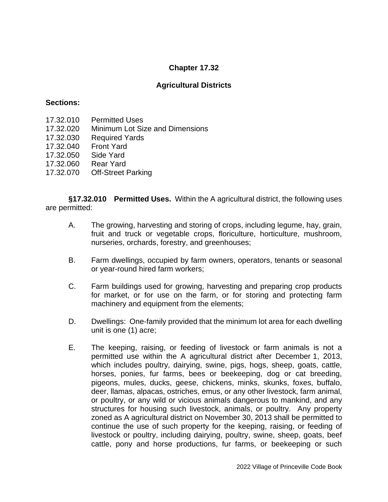### **Agricultural Districts**

#### **Sections:**

- 17.32.010 Permitted Uses
- 17.32.020 Minimum Lot Size and Dimensions
- 17.32.030 Required Yards
- 17.32.040 Front Yard
- 17.32.050 Side Yard
- 17.32.060 Rear Yard
- 17.32.070 Off-Street Parking

**§17.32.010 Permitted Uses.** Within the A agricultural district, the following uses are permitted:

- A. The growing, harvesting and storing of crops, including legume, hay, grain, fruit and truck or vegetable crops, floriculture, horticulture, mushroom, nurseries, orchards, forestry, and greenhouses;
- B. Farm dwellings, occupied by farm owners, operators, tenants or seasonal or year-round hired farm workers;
- C. Farm buildings used for growing, harvesting and preparing crop products for market, or for use on the farm, or for storing and protecting farm machinery and equipment from the elements;
- D. Dwellings: One-family provided that the minimum lot area for each dwelling unit is one (1) acre;
- E. The keeping, raising, or feeding of livestock or farm animals is not a permitted use within the A agricultural district after December 1, 2013, which includes poultry, dairying, swine, pigs, hogs, sheep, goats, cattle, horses, ponies, fur farms, bees or beekeeping, dog or cat breeding, pigeons, mules, ducks, geese, chickens, minks, skunks, foxes, buffalo, deer, llamas, alpacas, ostriches, emus, or any other livestock, farm animal, or poultry, or any wild or vicious animals dangerous to mankind, and any structures for housing such livestock, animals, or poultry. Any property zoned as A agricultural district on November 30, 2013 shall be permitted to continue the use of such property for the keeping, raising, or feeding of livestock or poultry, including dairying, poultry, swine, sheep, goats, beef cattle, pony and horse productions, fur farms, or beekeeping or such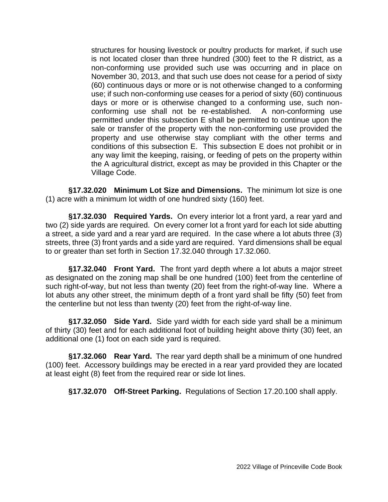structures for housing livestock or poultry products for market, if such use is not located closer than three hundred (300) feet to the R district, as a non-conforming use provided such use was occurring and in place on November 30, 2013, and that such use does not cease for a period of sixty (60) continuous days or more or is not otherwise changed to a conforming use; if such non-conforming use ceases for a period of sixty (60) continuous days or more or is otherwise changed to a conforming use, such nonconforming use shall not be re-established. A non-conforming use permitted under this subsection E shall be permitted to continue upon the sale or transfer of the property with the non-conforming use provided the property and use otherwise stay compliant with the other terms and conditions of this subsection E. This subsection E does not prohibit or in any way limit the keeping, raising, or feeding of pets on the property within the A agricultural district, except as may be provided in this Chapter or the Village Code.

**§17.32.020 Minimum Lot Size and Dimensions.** The minimum lot size is one (1) acre with a minimum lot width of one hundred sixty (160) feet.

**§17.32.030 Required Yards.** On every interior lot a front yard, a rear yard and two (2) side yards are required. On every corner lot a front yard for each lot side abutting a street, a side yard and a rear yard are required. In the case where a lot abuts three (3) streets, three (3) front yards and a side yard are required. Yard dimensions shall be equal to or greater than set forth in Section 17.32.040 through 17.32.060.

**§17.32.040 Front Yard.** The front yard depth where a lot abuts a major street as designated on the zoning map shall be one hundred (100) feet from the centerline of such right-of-way, but not less than twenty (20) feet from the right-of-way line. Where a lot abuts any other street, the minimum depth of a front yard shall be fifty (50) feet from the centerline but not less than twenty (20) feet from the right-of-way line.

**§17.32.050 Side Yard.** Side yard width for each side yard shall be a minimum of thirty (30) feet and for each additional foot of building height above thirty (30) feet, an additional one (1) foot on each side yard is required.

**§17.32.060 Rear Yard.** The rear yard depth shall be a minimum of one hundred (100) feet. Accessory buildings may be erected in a rear yard provided they are located at least eight (8) feet from the required rear or side lot lines.

**§17.32.070 Off-Street Parking.** Regulations of Section 17.20.100 shall apply.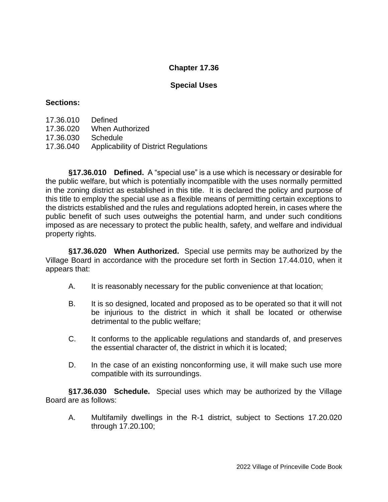#### **Special Uses**

#### **Sections:**

| 17.36.010 | <b>Defined</b>                        |
|-----------|---------------------------------------|
| 17.36.020 | When Authorized                       |
| 17.36.030 | Schedule                              |
| 17.36.040 | Applicability of District Regulations |

**§17.36.010 Defined.** A "special use" is a use which is necessary or desirable for the public welfare, but which is potentially incompatible with the uses normally permitted in the zoning district as established in this title. It is declared the policy and purpose of this title to employ the special use as a flexible means of permitting certain exceptions to the districts established and the rules and regulations adopted herein, in cases where the public benefit of such uses outweighs the potential harm, and under such conditions imposed as are necessary to protect the public health, safety, and welfare and individual property rights.

**§17.36.020 When Authorized.** Special use permits may be authorized by the Village Board in accordance with the procedure set forth in Section 17.44.010, when it appears that:

- A. It is reasonably necessary for the public convenience at that location;
- B. It is so designed, located and proposed as to be operated so that it will not be injurious to the district in which it shall be located or otherwise detrimental to the public welfare;
- C. It conforms to the applicable regulations and standards of, and preserves the essential character of, the district in which it is located;
- D. In the case of an existing nonconforming use, it will make such use more compatible with its surroundings.

**§17.36.030 Schedule.** Special uses which may be authorized by the Village Board are as follows:

A. Multifamily dwellings in the R-1 district, subject to Sections 17.20.020 through 17.20.100;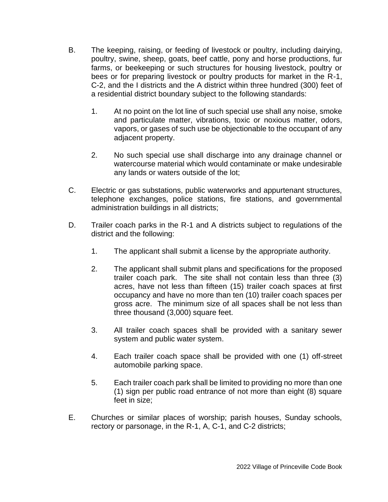- B. The keeping, raising, or feeding of livestock or poultry, including dairying, poultry, swine, sheep, goats, beef cattle, pony and horse productions, fur farms, or beekeeping or such structures for housing livestock, poultry or bees or for preparing livestock or poultry products for market in the R-1, C-2, and the I districts and the A district within three hundred (300) feet of a residential district boundary subject to the following standards:
	- 1. At no point on the lot line of such special use shall any noise, smoke and particulate matter, vibrations, toxic or noxious matter, odors, vapors, or gases of such use be objectionable to the occupant of any adjacent property.
	- 2. No such special use shall discharge into any drainage channel or watercourse material which would contaminate or make undesirable any lands or waters outside of the lot;
- C. Electric or gas substations, public waterworks and appurtenant structures, telephone exchanges, police stations, fire stations, and governmental administration buildings in all districts;
- D. Trailer coach parks in the R-1 and A districts subject to regulations of the district and the following:
	- 1. The applicant shall submit a license by the appropriate authority.
	- 2. The applicant shall submit plans and specifications for the proposed trailer coach park. The site shall not contain less than three (3) acres, have not less than fifteen (15) trailer coach spaces at first occupancy and have no more than ten (10) trailer coach spaces per gross acre. The minimum size of all spaces shall be not less than three thousand (3,000) square feet.
	- 3. All trailer coach spaces shall be provided with a sanitary sewer system and public water system.
	- 4. Each trailer coach space shall be provided with one (1) off-street automobile parking space.
	- 5. Each trailer coach park shall be limited to providing no more than one (1) sign per public road entrance of not more than eight (8) square feet in size;
- E. Churches or similar places of worship; parish houses, Sunday schools, rectory or parsonage, in the R-1, A, C-1, and C-2 districts;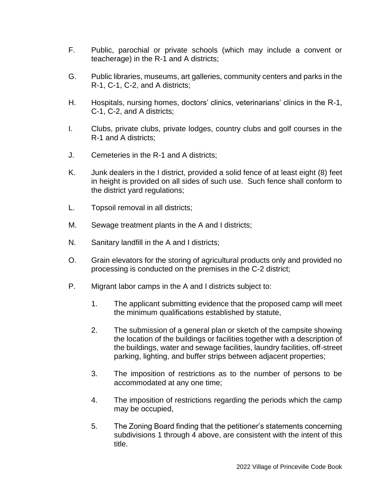- F. Public, parochial or private schools (which may include a convent or teacherage) in the R-1 and A districts;
- G. Public libraries, museums, art galleries, community centers and parks in the R-1, C-1, C-2, and A districts;
- H. Hospitals, nursing homes, doctors' clinics, veterinarians' clinics in the R-1, C-1, C-2, and A districts;
- I. Clubs, private clubs, private lodges, country clubs and golf courses in the R-1 and A districts;
- J. Cemeteries in the R-1 and A districts;
- K. Junk dealers in the I district, provided a solid fence of at least eight (8) feet in height is provided on all sides of such use. Such fence shall conform to the district yard regulations;
- L. Topsoil removal in all districts;
- M. Sewage treatment plants in the A and I districts;
- N. Sanitary landfill in the A and I districts;
- O. Grain elevators for the storing of agricultural products only and provided no processing is conducted on the premises in the C-2 district;
- P. Migrant labor camps in the A and I districts subject to:
	- 1. The applicant submitting evidence that the proposed camp will meet the minimum qualifications established by statute,
	- 2. The submission of a general plan or sketch of the campsite showing the location of the buildings or facilities together with a description of the buildings, water and sewage facilities, laundry facilities, off-street parking, lighting, and buffer strips between adjacent properties;
	- 3. The imposition of restrictions as to the number of persons to be accommodated at any one time;
	- 4. The imposition of restrictions regarding the periods which the camp may be occupied,
	- 5. The Zoning Board finding that the petitioner's statements concerning subdivisions 1 through 4 above, are consistent with the intent of this title.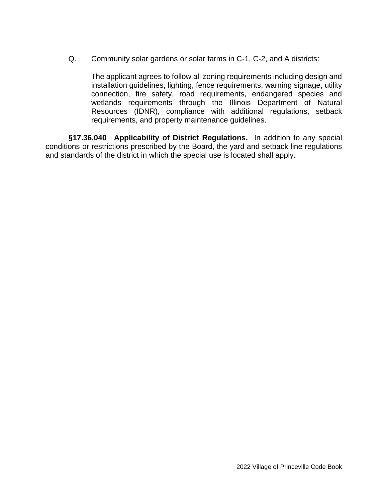Q. Community solar gardens or solar farms in C-1, C-2, and A districts:

The applicant agrees to follow all zoning requirements including design and installation guidelines, lighting, fence requirements, warning signage, utility connection, fire safety, road requirements, endangered species and wetlands requirements through the Illinois Department of Natural Resources (IDNR), compliance with additional regulations, setback requirements, and property maintenance guidelines.

**§17.36.040 Applicability of District Regulations.** In addition to any special conditions or restrictions prescribed by the Board, the yard and setback line regulations and standards of the district in which the special use is located shall apply.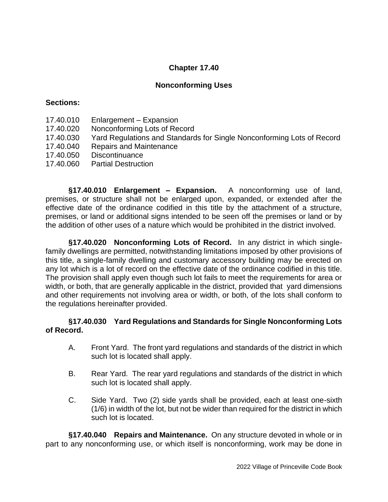### **Nonconforming Uses**

#### **Sections:**

- 17.40.010 Enlargement Expansion
- 17.40.020 Nonconforming Lots of Record
- 17.40.030 Yard Regulations and Standards for Single Nonconforming Lots of Record
- 17.40.040 Repairs and Maintenance
- 17.40.050 Discontinuance
- 17.40.060 Partial Destruction

**§17.40.010 Enlargement – Expansion.** A nonconforming use of land, premises, or structure shall not be enlarged upon, expanded, or extended after the effective date of the ordinance codified in this title by the attachment of a structure, premises, or land or additional signs intended to be seen off the premises or land or by the addition of other uses of a nature which would be prohibited in the district involved.

**§17.40.020 Nonconforming Lots of Record.** In any district in which singlefamily dwellings are permitted, notwithstanding limitations imposed by other provisions of this title, a single-family dwelling and customary accessory building may be erected on any lot which is a lot of record on the effective date of the ordinance codified in this title. The provision shall apply even though such lot fails to meet the requirements for area or width, or both, that are generally applicable in the district, provided that yard dimensions and other requirements not involving area or width, or both, of the lots shall conform to the regulations hereinafter provided.

#### **§17.40.030 Yard Regulations and Standards for Single Nonconforming Lots of Record.**

- A. Front Yard. The front yard regulations and standards of the district in which such lot is located shall apply.
- B. Rear Yard. The rear yard regulations and standards of the district in which such lot is located shall apply.
- C. Side Yard. Two (2) side yards shall be provided, each at least one-sixth (1/6) in width of the lot, but not be wider than required for the district in which such lot is located.

**§17.40.040 Repairs and Maintenance.** On any structure devoted in whole or in part to any nonconforming use, or which itself is nonconforming, work may be done in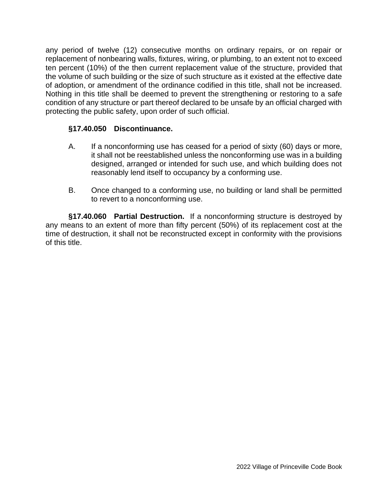any period of twelve (12) consecutive months on ordinary repairs, or on repair or replacement of nonbearing walls, fixtures, wiring, or plumbing, to an extent not to exceed ten percent (10%) of the then current replacement value of the structure, provided that the volume of such building or the size of such structure as it existed at the effective date of adoption, or amendment of the ordinance codified in this title, shall not be increased. Nothing in this title shall be deemed to prevent the strengthening or restoring to a safe condition of any structure or part thereof declared to be unsafe by an official charged with protecting the public safety, upon order of such official.

#### **§17.40.050 Discontinuance.**

- A. If a nonconforming use has ceased for a period of sixty (60) days or more, it shall not be reestablished unless the nonconforming use was in a building designed, arranged or intended for such use, and which building does not reasonably lend itself to occupancy by a conforming use.
- B. Once changed to a conforming use, no building or land shall be permitted to revert to a nonconforming use.

**§17.40.060 Partial Destruction.** If a nonconforming structure is destroyed by any means to an extent of more than fifty percent (50%) of its replacement cost at the time of destruction, it shall not be reconstructed except in conformity with the provisions of this title.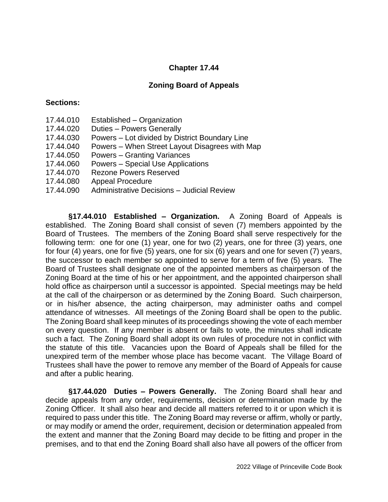## **Zoning Board of Appeals**

#### **Sections:**

- 17.44.010 Established Organization
- 17.44.020 Duties Powers Generally
- 17.44.030 Powers Lot divided by District Boundary Line
- 17.44.040 Powers When Street Layout Disagrees with Map
- 17.44.050 Powers Granting Variances
- 17.44.060 Powers Special Use Applications
- 17.44.070 Rezone Powers Reserved
- 17.44.080 Appeal Procedure
- 17.44.090 Administrative Decisions Judicial Review

**§17.44.010 Established – Organization.** A Zoning Board of Appeals is established. The Zoning Board shall consist of seven (7) members appointed by the Board of Trustees. The members of the Zoning Board shall serve respectively for the following term: one for one (1) year, one for two (2) years, one for three (3) years, one for four (4) years, one for five (5) years, one for six (6) years and one for seven (7) years, the successor to each member so appointed to serve for a term of five (5) years. The Board of Trustees shall designate one of the appointed members as chairperson of the Zoning Board at the time of his or her appointment, and the appointed chairperson shall hold office as chairperson until a successor is appointed. Special meetings may be held at the call of the chairperson or as determined by the Zoning Board. Such chairperson, or in his/her absence, the acting chairperson, may administer oaths and compel attendance of witnesses. All meetings of the Zoning Board shall be open to the public. The Zoning Board shall keep minutes of its proceedings showing the vote of each member on every question. If any member is absent or fails to vote, the minutes shall indicate such a fact. The Zoning Board shall adopt its own rules of procedure not in conflict with the statute of this title. Vacancies upon the Board of Appeals shall be filled for the unexpired term of the member whose place has become vacant. The Village Board of Trustees shall have the power to remove any member of the Board of Appeals for cause and after a public hearing.

**§17.44.020 Duties – Powers Generally.** The Zoning Board shall hear and decide appeals from any order, requirements, decision or determination made by the Zoning Officer. It shall also hear and decide all matters referred to it or upon which it is required to pass under this title. The Zoning Board may reverse or affirm, wholly or partly, or may modify or amend the order, requirement, decision or determination appealed from the extent and manner that the Zoning Board may decide to be fitting and proper in the premises, and to that end the Zoning Board shall also have all powers of the officer from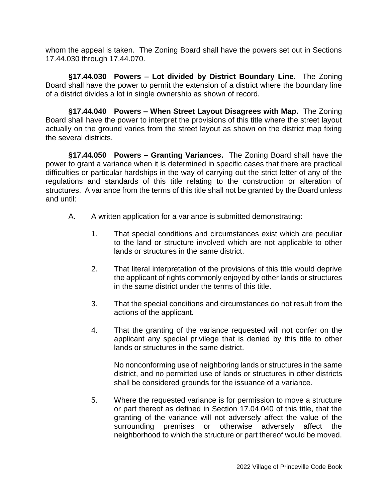whom the appeal is taken. The Zoning Board shall have the powers set out in Sections 17.44.030 through 17.44.070.

**§17.44.030 Powers – Lot divided by District Boundary Line.** The Zoning Board shall have the power to permit the extension of a district where the boundary line of a district divides a lot in single ownership as shown of record.

**§17.44.040 Powers – When Street Layout Disagrees with Map.** The Zoning Board shall have the power to interpret the provisions of this title where the street layout actually on the ground varies from the street layout as shown on the district map fixing the several districts.

**§17.44.050 Powers – Granting Variances.** The Zoning Board shall have the power to grant a variance when it is determined in specific cases that there are practical difficulties or particular hardships in the way of carrying out the strict letter of any of the regulations and standards of this title relating to the construction or alteration of structures. A variance from the terms of this title shall not be granted by the Board unless and until:

- A. A written application for a variance is submitted demonstrating:
	- 1. That special conditions and circumstances exist which are peculiar to the land or structure involved which are not applicable to other lands or structures in the same district.
	- 2. That literal interpretation of the provisions of this title would deprive the applicant of rights commonly enjoyed by other lands or structures in the same district under the terms of this title.
	- 3. That the special conditions and circumstances do not result from the actions of the applicant.
	- 4. That the granting of the variance requested will not confer on the applicant any special privilege that is denied by this title to other lands or structures in the same district.

No nonconforming use of neighboring lands or structures in the same district, and no permitted use of lands or structures in other districts shall be considered grounds for the issuance of a variance.

5. Where the requested variance is for permission to move a structure or part thereof as defined in Section 17.04.040 of this title, that the granting of the variance will not adversely affect the value of the surrounding premises or otherwise adversely affect the neighborhood to which the structure or part thereof would be moved.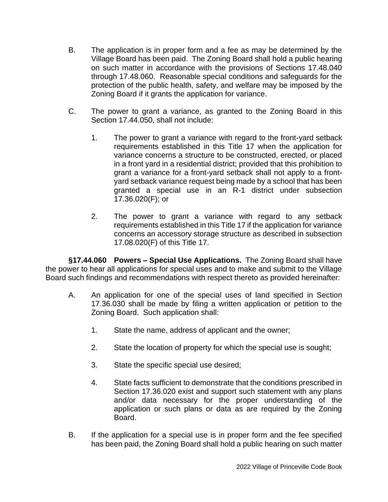- B. The application is in proper form and a fee as may be determined by the Village Board has been paid. The Zoning Board shall hold a public hearing on such matter in accordance with the provisions of Sections 17.48.040 through 17.48.060. Reasonable special conditions and safeguards for the protection of the public health, safety, and welfare may be imposed by the Zoning Board if it grants the application for variance.
- C. The power to grant a variance, as granted to the Zoning Board in this Section 17.44.050, shall not include:
	- 1. The power to grant a variance with regard to the front-yard setback requirements established in this Title 17 when the application for variance concerns a structure to be constructed, erected, or placed in a front yard in a residential district; provided that this prohibition to grant a variance for a front-yard setback shall not apply to a frontyard setback variance request being made by a school that has been granted a special use in an R-1 district under subsection 17.36.020(F); or
	- 2. The power to grant a variance with regard to any setback requirements established in this Title 17 if the application for variance concerns an accessory storage structure as described in subsection 17.08.020(F) of this Title 17.

**§17.44.060 Powers – Special Use Applications.** The Zoning Board shall have the power to hear all applications for special uses and to make and submit to the Village Board such findings and recommendations with respect thereto as provided hereinafter:

- A. An application for one of the special uses of land specified in Section 17.36.030 shall be made by filing a written application or petition to the Zoning Board. Such application shall:
	- 1. State the name, address of applicant and the owner;
	- 2. State the location of property for which the special use is sought;
	- 3. State the specific special use desired;
	- 4. State facts sufficient to demonstrate that the conditions prescribed in Section 17.36.020 exist and support such statement with any plans and/or data necessary for the proper understanding of the application or such plans or data as are required by the Zoning Board.
- B. If the application for a special use is in proper form and the fee specified has been paid, the Zoning Board shall hold a public hearing on such matter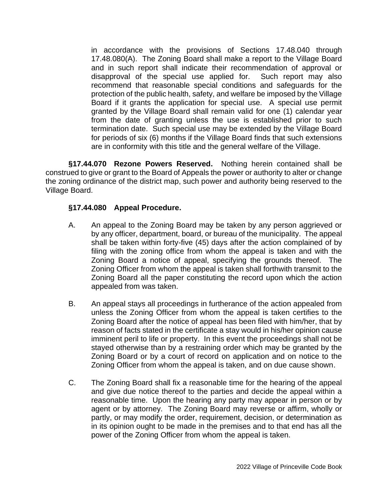in accordance with the provisions of Sections 17.48.040 through 17.48.080(A). The Zoning Board shall make a report to the Village Board and in such report shall indicate their recommendation of approval or disapproval of the special use applied for. Such report may also recommend that reasonable special conditions and safeguards for the protection of the public health, safety, and welfare be imposed by the Village Board if it grants the application for special use. A special use permit granted by the Village Board shall remain valid for one (1) calendar year from the date of granting unless the use is established prior to such termination date. Such special use may be extended by the Village Board for periods of six (6) months if the Village Board finds that such extensions are in conformity with this title and the general welfare of the Village.

**§17.44.070 Rezone Powers Reserved.** Nothing herein contained shall be construed to give or grant to the Board of Appeals the power or authority to alter or change the zoning ordinance of the district map, such power and authority being reserved to the Village Board.

## **§17.44.080 Appeal Procedure.**

- A. An appeal to the Zoning Board may be taken by any person aggrieved or by any officer, department, board, or bureau of the municipality. The appeal shall be taken within forty-five (45) days after the action complained of by filing with the zoning office from whom the appeal is taken and with the Zoning Board a notice of appeal, specifying the grounds thereof. The Zoning Officer from whom the appeal is taken shall forthwith transmit to the Zoning Board all the paper constituting the record upon which the action appealed from was taken.
- B. An appeal stays all proceedings in furtherance of the action appealed from unless the Zoning Officer from whom the appeal is taken certifies to the Zoning Board after the notice of appeal has been filed with him/her, that by reason of facts stated in the certificate a stay would in his/her opinion cause imminent peril to life or property. In this event the proceedings shall not be stayed otherwise than by a restraining order which may be granted by the Zoning Board or by a court of record on application and on notice to the Zoning Officer from whom the appeal is taken, and on due cause shown.
- C. The Zoning Board shall fix a reasonable time for the hearing of the appeal and give due notice thereof to the parties and decide the appeal within a reasonable time. Upon the hearing any party may appear in person or by agent or by attorney. The Zoning Board may reverse or affirm, wholly or partly, or may modify the order, requirement, decision, or determination as in its opinion ought to be made in the premises and to that end has all the power of the Zoning Officer from whom the appeal is taken.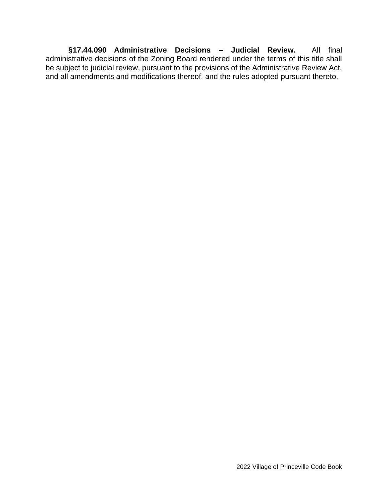**§17.44.090 Administrative Decisions – Judicial Review.** All final administrative decisions of the Zoning Board rendered under the terms of this title shall be subject to judicial review, pursuant to the provisions of the Administrative Review Act, and all amendments and modifications thereof, and the rules adopted pursuant thereto.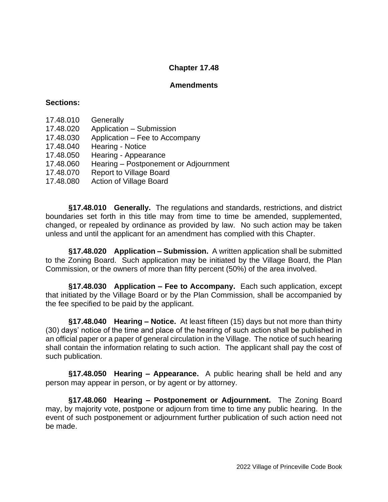### **Amendments**

### **Sections:**

- 17.48.010 Generally
- 17.48.020 Application Submission
- 17.48.030 Application Fee to Accompany
- 17.48.040 Hearing Notice
- 17.48.050 Hearing Appearance
- 17.48.060 Hearing Postponement or Adjournment
- 17.48.070 Report to Village Board
- 17.48.080 Action of Village Board

**§17.48.010 Generally.** The regulations and standards, restrictions, and district boundaries set forth in this title may from time to time be amended, supplemented, changed, or repealed by ordinance as provided by law. No such action may be taken unless and until the applicant for an amendment has complied with this Chapter.

**§17.48.020 Application – Submission.** A written application shall be submitted to the Zoning Board. Such application may be initiated by the Village Board, the Plan Commission, or the owners of more than fifty percent (50%) of the area involved.

**§17.48.030 Application – Fee to Accompany.** Each such application, except that initiated by the Village Board or by the Plan Commission, shall be accompanied by the fee specified to be paid by the applicant.

**§17.48.040 Hearing – Notice.** At least fifteen (15) days but not more than thirty (30) days' notice of the time and place of the hearing of such action shall be published in an official paper or a paper of general circulation in the Village. The notice of such hearing shall contain the information relating to such action. The applicant shall pay the cost of such publication.

**§17.48.050 Hearing – Appearance.** A public hearing shall be held and any person may appear in person, or by agent or by attorney.

**§17.48.060 Hearing – Postponement or Adjournment.** The Zoning Board may, by majority vote, postpone or adjourn from time to time any public hearing. In the event of such postponement or adjournment further publication of such action need not be made.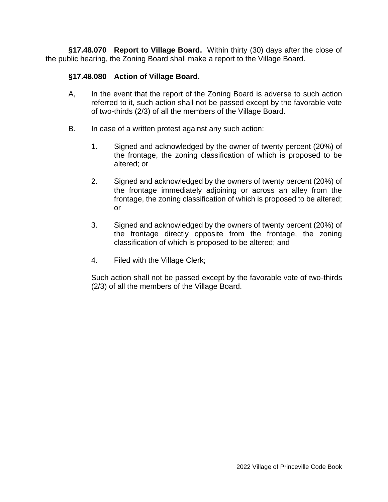**§17.48.070 Report to Village Board.** Within thirty (30) days after the close of the public hearing, the Zoning Board shall make a report to the Village Board.

### **§17.48.080 Action of Village Board.**

- A, In the event that the report of the Zoning Board is adverse to such action referred to it, such action shall not be passed except by the favorable vote of two-thirds (2/3) of all the members of the Village Board.
- B. In case of a written protest against any such action:
	- 1. Signed and acknowledged by the owner of twenty percent (20%) of the frontage, the zoning classification of which is proposed to be altered; or
	- 2. Signed and acknowledged by the owners of twenty percent (20%) of the frontage immediately adjoining or across an alley from the frontage, the zoning classification of which is proposed to be altered; or
	- 3. Signed and acknowledged by the owners of twenty percent (20%) of the frontage directly opposite from the frontage, the zoning classification of which is proposed to be altered; and
	- 4. Filed with the Village Clerk;

Such action shall not be passed except by the favorable vote of two-thirds (2/3) of all the members of the Village Board.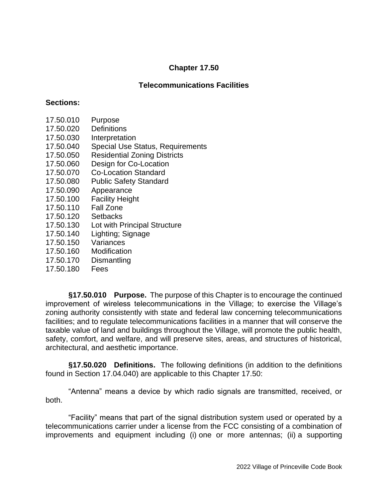### **Telecommunications Facilities**

#### **Sections:**

- 17.50.010 Purpose
- 17.50.020 Definitions
- 17.50.030 Interpretation
- 17.50.040 Special Use Status, Requirements
- 17.50.050 Residential Zoning Districts
- 17.50.060 Design for Co-Location
- 17.50.070 Co-Location Standard
- 17.50.080 Public Safety Standard
- 17.50.090 Appearance
- 17.50.100 Facility Height
- 17.50.110 Fall Zone
- 17.50.120 Setbacks
- 17.50.130 Lot with Principal Structure
- 17.50.140 Lighting; Signage
- 17.50.150 Variances
- 17.50.160 Modification
- 17.50.170 Dismantling
- 17.50.180 Fees

**§17.50.010 Purpose.** The purpose of this Chapter is to encourage the continued improvement of wireless telecommunications in the Village; to exercise the Village's zoning authority consistently with state and federal law concerning telecommunications facilities; and to regulate telecommunications facilities in a manner that will conserve the taxable value of land and buildings throughout the Village, will promote the public health, safety, comfort, and welfare, and will preserve sites, areas, and structures of historical, architectural, and aesthetic importance.

**§17.50.020 Definitions.** The following definitions (in addition to the definitions found in Section 17.04.040) are applicable to this Chapter 17.50:

"Antenna" means a device by which radio signals are transmitted, received, or both.

"Facility" means that part of the signal distribution system used or operated by a telecommunications carrier under a license from the FCC consisting of a combination of improvements and equipment including (i) one or more antennas; (ii) a supporting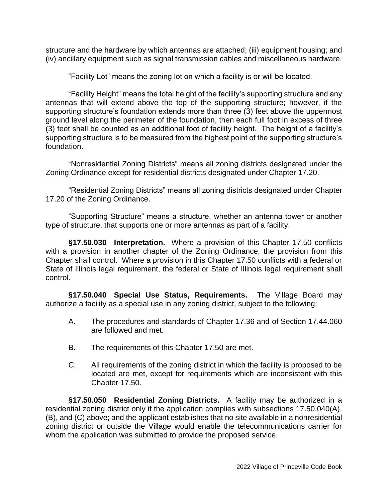structure and the hardware by which antennas are attached; (iii) equipment housing; and (iv) ancillary equipment such as signal transmission cables and miscellaneous hardware.

"Facility Lot" means the zoning lot on which a facility is or will be located.

"Facility Height" means the total height of the facility's supporting structure and any antennas that will extend above the top of the supporting structure; however, if the supporting structure's foundation extends more than three (3) feet above the uppermost ground level along the perimeter of the foundation, then each full foot in excess of three (3) feet shall be counted as an additional foot of facility height. The height of a facility's supporting structure is to be measured from the highest point of the supporting structure's foundation.

"Nonresidential Zoning Districts" means all zoning districts designated under the Zoning Ordinance except for residential districts designated under Chapter 17.20.

"Residential Zoning Districts" means all zoning districts designated under Chapter 17.20 of the Zoning Ordinance.

"Supporting Structure" means a structure, whether an antenna tower or another type of structure, that supports one or more antennas as part of a facility.

**§17.50.030 Interpretation.** Where a provision of this Chapter 17.50 conflicts with a provision in another chapter of the Zoning Ordinance, the provision from this Chapter shall control. Where a provision in this Chapter 17.50 conflicts with a federal or State of Illinois legal requirement, the federal or State of Illinois legal requirement shall control.

**§17.50.040 Special Use Status, Requirements.** The Village Board may authorize a facility as a special use in any zoning district, subject to the following:

- A. The procedures and standards of Chapter 17.36 and of Section 17.44.060 are followed and met.
- B. The requirements of this Chapter 17.50 are met.
- C. All requirements of the zoning district in which the facility is proposed to be located are met, except for requirements which are inconsistent with this Chapter 17.50.

**§17.50.050 Residential Zoning Districts.** A facility may be authorized in a residential zoning district only if the application complies with subsections 17.50.040(A), (B), and (C) above; and the applicant establishes that no site available in a nonresidential zoning district or outside the Village would enable the telecommunications carrier for whom the application was submitted to provide the proposed service.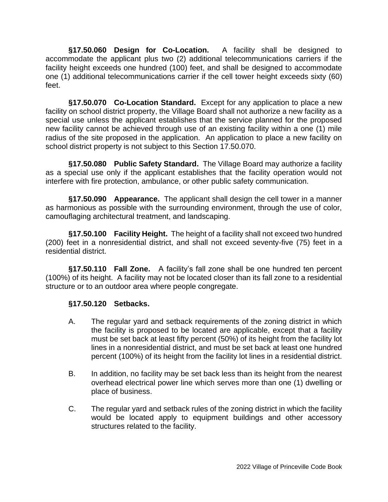**§17.50.060 Design for Co-Location.** A facility shall be designed to accommodate the applicant plus two (2) additional telecommunications carriers if the facility height exceeds one hundred (100) feet, and shall be designed to accommodate one (1) additional telecommunications carrier if the cell tower height exceeds sixty (60) feet.

**§17.50.070 Co-Location Standard.** Except for any application to place a new facility on school district property, the Village Board shall not authorize a new facility as a special use unless the applicant establishes that the service planned for the proposed new facility cannot be achieved through use of an existing facility within a one (1) mile radius of the site proposed in the application. An application to place a new facility on school district property is not subject to this Section 17.50.070.

**§17.50.080 Public Safety Standard.** The Village Board may authorize a facility as a special use only if the applicant establishes that the facility operation would not interfere with fire protection, ambulance, or other public safety communication.

**§17.50.090 Appearance.** The applicant shall design the cell tower in a manner as harmonious as possible with the surrounding environment, through the use of color, camouflaging architectural treatment, and landscaping.

**§17.50.100 Facility Height.** The height of a facility shall not exceed two hundred (200) feet in a nonresidential district, and shall not exceed seventy-five (75) feet in a residential district.

**§17.50.110 Fall Zone.** A facility's fall zone shall be one hundred ten percent (100%) of its height. A facility may not be located closer than its fall zone to a residential structure or to an outdoor area where people congregate.

#### **§17.50.120 Setbacks.**

- A. The regular yard and setback requirements of the zoning district in which the facility is proposed to be located are applicable, except that a facility must be set back at least fifty percent (50%) of its height from the facility lot lines in a nonresidential district, and must be set back at least one hundred percent (100%) of its height from the facility lot lines in a residential district.
- B. In addition, no facility may be set back less than its height from the nearest overhead electrical power line which serves more than one (1) dwelling or place of business.
- C. The regular yard and setback rules of the zoning district in which the facility would be located apply to equipment buildings and other accessory structures related to the facility.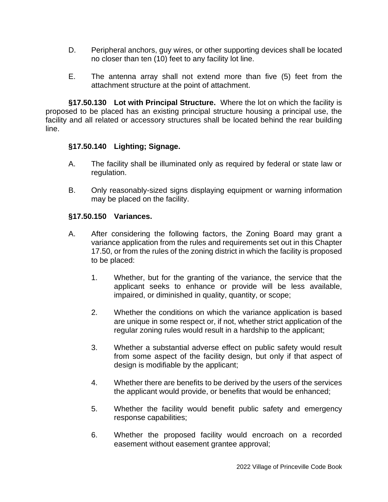- D. Peripheral anchors, guy wires, or other supporting devices shall be located no closer than ten (10) feet to any facility lot line.
- E. The antenna array shall not extend more than five (5) feet from the attachment structure at the point of attachment.

**§17.50.130 Lot with Principal Structure.** Where the lot on which the facility is proposed to be placed has an existing principal structure housing a principal use, the facility and all related or accessory structures shall be located behind the rear building line.

### **§17.50.140 Lighting; Signage.**

- A. The facility shall be illuminated only as required by federal or state law or regulation.
- B. Only reasonably-sized signs displaying equipment or warning information may be placed on the facility.

### **§17.50.150 Variances.**

- A. After considering the following factors, the Zoning Board may grant a variance application from the rules and requirements set out in this Chapter 17.50, or from the rules of the zoning district in which the facility is proposed to be placed:
	- 1. Whether, but for the granting of the variance, the service that the applicant seeks to enhance or provide will be less available, impaired, or diminished in quality, quantity, or scope;
	- 2. Whether the conditions on which the variance application is based are unique in some respect or, if not, whether strict application of the regular zoning rules would result in a hardship to the applicant;
	- 3. Whether a substantial adverse effect on public safety would result from some aspect of the facility design, but only if that aspect of design is modifiable by the applicant;
	- 4. Whether there are benefits to be derived by the users of the services the applicant would provide, or benefits that would be enhanced;
	- 5. Whether the facility would benefit public safety and emergency response capabilities;
	- 6. Whether the proposed facility would encroach on a recorded easement without easement grantee approval;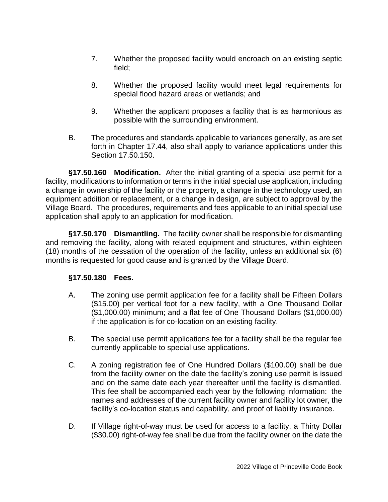- 7. Whether the proposed facility would encroach on an existing septic field;
- 8. Whether the proposed facility would meet legal requirements for special flood hazard areas or wetlands; and
- 9. Whether the applicant proposes a facility that is as harmonious as possible with the surrounding environment.
- B. The procedures and standards applicable to variances generally, as are set forth in Chapter 17.44, also shall apply to variance applications under this Section 17.50.150.

**§17.50.160 Modification.** After the initial granting of a special use permit for a facility, modifications to information or terms in the initial special use application, including a change in ownership of the facility or the property, a change in the technology used, an equipment addition or replacement, or a change in design, are subject to approval by the Village Board. The procedures, requirements and fees applicable to an initial special use application shall apply to an application for modification.

**§17.50.170 Dismantling.** The facility owner shall be responsible for dismantling and removing the facility, along with related equipment and structures, within eighteen (18) months of the cessation of the operation of the facility, unless an additional six (6) months is requested for good cause and is granted by the Village Board.

## **§17.50.180 Fees.**

- A. The zoning use permit application fee for a facility shall be Fifteen Dollars (\$15.00) per vertical foot for a new facility, with a One Thousand Dollar (\$1,000.00) minimum; and a flat fee of One Thousand Dollars (\$1,000.00) if the application is for co-location on an existing facility.
- B. The special use permit applications fee for a facility shall be the regular fee currently applicable to special use applications.
- C. A zoning registration fee of One Hundred Dollars (\$100.00) shall be due from the facility owner on the date the facility's zoning use permit is issued and on the same date each year thereafter until the facility is dismantled. This fee shall be accompanied each year by the following information: the names and addresses of the current facility owner and facility lot owner, the facility's co-location status and capability, and proof of liability insurance.
- D. If Village right-of-way must be used for access to a facility, a Thirty Dollar (\$30.00) right-of-way fee shall be due from the facility owner on the date the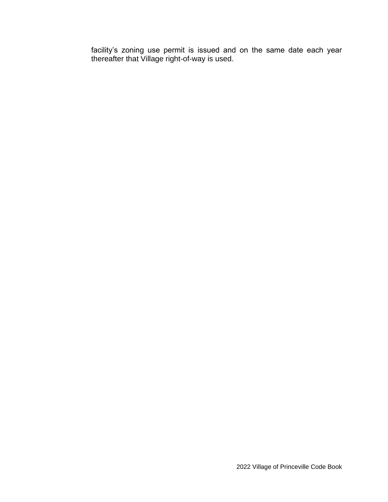facility's zoning use permit is issued and on the same date each year thereafter that Village right-of-way is used.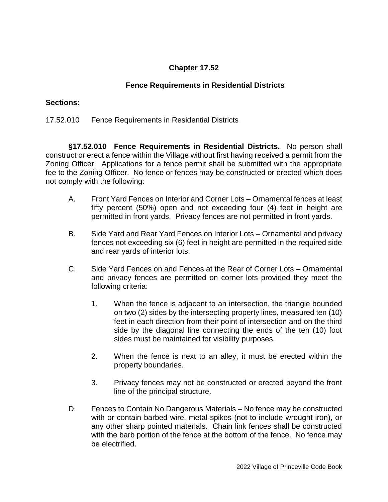### **Fence Requirements in Residential Districts**

#### **Sections:**

17.52.010 Fence Requirements in Residential Districts

**§17.52.010 Fence Requirements in Residential Districts.** No person shall construct or erect a fence within the Village without first having received a permit from the Zoning Officer. Applications for a fence permit shall be submitted with the appropriate fee to the Zoning Officer. No fence or fences may be constructed or erected which does not comply with the following:

- A. Front Yard Fences on Interior and Corner Lots Ornamental fences at least fifty percent (50%) open and not exceeding four (4) feet in height are permitted in front yards. Privacy fences are not permitted in front yards.
- B. Side Yard and Rear Yard Fences on Interior Lots Ornamental and privacy fences not exceeding six (6) feet in height are permitted in the required side and rear yards of interior lots.
- C. Side Yard Fences on and Fences at the Rear of Corner Lots Ornamental and privacy fences are permitted on corner lots provided they meet the following criteria:
	- 1. When the fence is adjacent to an intersection, the triangle bounded on two (2) sides by the intersecting property lines, measured ten (10) feet in each direction from their point of intersection and on the third side by the diagonal line connecting the ends of the ten (10) foot sides must be maintained for visibility purposes.
	- 2. When the fence is next to an alley, it must be erected within the property boundaries.
	- 3. Privacy fences may not be constructed or erected beyond the front line of the principal structure.
- D. Fences to Contain No Dangerous Materials No fence may be constructed with or contain barbed wire, metal spikes (not to include wrought iron), or any other sharp pointed materials. Chain link fences shall be constructed with the barb portion of the fence at the bottom of the fence. No fence may be electrified.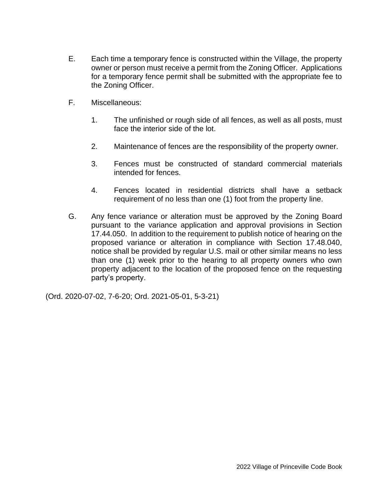- E. Each time a temporary fence is constructed within the Village, the property owner or person must receive a permit from the Zoning Officer. Applications for a temporary fence permit shall be submitted with the appropriate fee to the Zoning Officer.
- F. Miscellaneous:
	- 1. The unfinished or rough side of all fences, as well as all posts, must face the interior side of the lot.
	- 2. Maintenance of fences are the responsibility of the property owner.
	- 3. Fences must be constructed of standard commercial materials intended for fences.
	- 4. Fences located in residential districts shall have a setback requirement of no less than one (1) foot from the property line.
- G. Any fence variance or alteration must be approved by the Zoning Board pursuant to the variance application and approval provisions in Section 17.44.050. In addition to the requirement to publish notice of hearing on the proposed variance or alteration in compliance with Section 17.48.040, notice shall be provided by regular U.S. mail or other similar means no less than one (1) week prior to the hearing to all property owners who own property adjacent to the location of the proposed fence on the requesting party's property.

(Ord. 2020-07-02, 7-6-20; Ord. 2021-05-01, 5-3-21)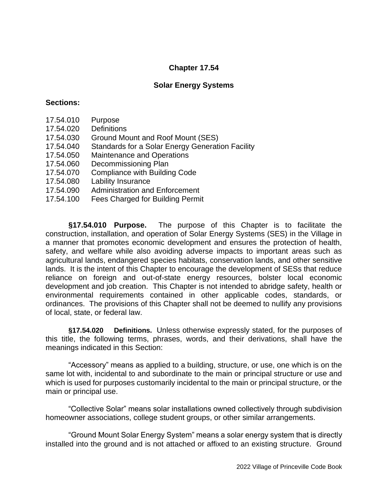## **Solar Energy Systems**

#### **Sections:**

- 17.54.010 Purpose
- 17.54.020 Definitions
- 17.54.030 Ground Mount and Roof Mount (SES)
- 17.54.040 Standards for a Solar Energy Generation Facility
- 17.54.050 Maintenance and Operations
- 17.54.060 Decommissioning Plan
- 17.54.070 Compliance with Building Code
- 17.54.080 Lability Insurance
- 17.54.090 Administration and Enforcement
- 17.54.100 Fees Charged for Building Permit

**§17.54.010 Purpose.** The purpose of this Chapter is to facilitate the construction, installation, and operation of Solar Energy Systems (SES) in the Village in a manner that promotes economic development and ensures the protection of health, safety, and welfare while also avoiding adverse impacts to important areas such as agricultural lands, endangered species habitats, conservation lands, and other sensitive lands. It is the intent of this Chapter to encourage the development of SESs that reduce reliance on foreign and out-of-state energy resources, bolster local economic development and job creation. This Chapter is not intended to abridge safety, health or environmental requirements contained in other applicable codes, standards, or ordinances. The provisions of this Chapter shall not be deemed to nullify any provisions of local, state, or federal law.

**§17.54.020 Definitions.** Unless otherwise expressly stated, for the purposes of this title, the following terms, phrases, words, and their derivations, shall have the meanings indicated in this Section:

"Accessory" means as applied to a building, structure, or use, one which is on the same lot with, incidental to and subordinate to the main or principal structure or use and which is used for purposes customarily incidental to the main or principal structure, or the main or principal use.

"Collective Solar" means solar installations owned collectively through subdivision homeowner associations, college student groups, or other similar arrangements.

"Ground Mount Solar Energy System" means a solar energy system that is directly installed into the ground and is not attached or affixed to an existing structure. Ground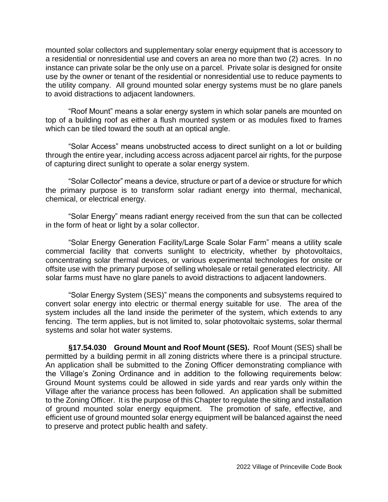mounted solar collectors and supplementary solar energy equipment that is accessory to a residential or nonresidential use and covers an area no more than two (2) acres. In no instance can private solar be the only use on a parcel. Private solar is designed for onsite use by the owner or tenant of the residential or nonresidential use to reduce payments to the utility company. All ground mounted solar energy systems must be no glare panels to avoid distractions to adjacent landowners.

"Roof Mount" means a solar energy system in which solar panels are mounted on top of a building roof as either a flush mounted system or as modules fixed to frames which can be tiled toward the south at an optical angle.

"Solar Access" means unobstructed access to direct sunlight on a lot or building through the entire year, including access across adjacent parcel air rights, for the purpose of capturing direct sunlight to operate a solar energy system.

"Solar Collector" means a device, structure or part of a device or structure for which the primary purpose is to transform solar radiant energy into thermal, mechanical, chemical, or electrical energy.

"Solar Energy" means radiant energy received from the sun that can be collected in the form of heat or light by a solar collector.

"Solar Energy Generation Facility/Large Scale Solar Farm" means a utility scale commercial facility that converts sunlight to electricity, whether by photovoltaics, concentrating solar thermal devices, or various experimental technologies for onsite or offsite use with the primary purpose of selling wholesale or retail generated electricity. All solar farms must have no glare panels to avoid distractions to adjacent landowners.

"Solar Energy System (SES)" means the components and subsystems required to convert solar energy into electric or thermal energy suitable for use. The area of the system includes all the land inside the perimeter of the system, which extends to any fencing. The term applies, but is not limited to, solar photovoltaic systems, solar thermal systems and solar hot water systems.

**§17.54.030 Ground Mount and Roof Mount (SES).** Roof Mount (SES) shall be permitted by a building permit in all zoning districts where there is a principal structure. An application shall be submitted to the Zoning Officer demonstrating compliance with the Village's Zoning Ordinance and in addition to the following requirements below: Ground Mount systems could be allowed in side yards and rear yards only within the Village after the variance process has been followed. An application shall be submitted to the Zoning Officer. It is the purpose of this Chapter to regulate the siting and installation of ground mounted solar energy equipment. The promotion of safe, effective, and efficient use of ground mounted solar energy equipment will be balanced against the need to preserve and protect public health and safety.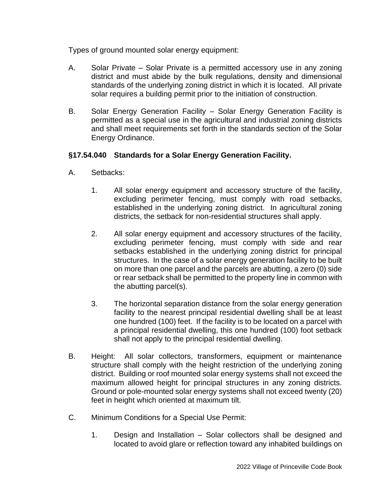Types of ground mounted solar energy equipment:

- A. Solar Private Solar Private is a permitted accessory use in any zoning district and must abide by the bulk regulations, density and dimensional standards of the underlying zoning district in which it is located. All private solar requires a building permit prior to the initiation of construction.
- B. Solar Energy Generation Facility Solar Energy Generation Facility is permitted as a special use in the agricultural and industrial zoning districts and shall meet requirements set forth in the standards section of the Solar Energy Ordinance.

## **§17.54.040 Standards for a Solar Energy Generation Facility.**

- A. Setbacks:
	- 1. All solar energy equipment and accessory structure of the facility, excluding perimeter fencing, must comply with road setbacks, established in the underlying zoning district. In agricultural zoning districts, the setback for non-residential structures shall apply.
	- 2. All solar energy equipment and accessory structures of the facility, excluding perimeter fencing, must comply with side and rear setbacks established in the underlying zoning district for principal structures. In the case of a solar energy generation facility to be built on more than one parcel and the parcels are abutting, a zero (0) side or rear setback shall be permitted to the property line in common with the abutting parcel(s).
	- 3. The horizontal separation distance from the solar energy generation facility to the nearest principal residential dwelling shall be at least one hundred (100) feet. If the facility is to be located on a parcel with a principal residential dwelling, this one hundred (100) foot setback shall not apply to the principal residential dwelling.
- B. Height: All solar collectors, transformers, equipment or maintenance structure shall comply with the height restriction of the underlying zoning district. Building or roof mounted solar energy systems shall not exceed the maximum allowed height for principal structures in any zoning districts. Ground or pole-mounted solar energy systems shall not exceed twenty (20) feet in height which oriented at maximum tilt.
- C. Minimum Conditions for a Special Use Permit:
	- 1. Design and Installation Solar collectors shall be designed and located to avoid glare or reflection toward any inhabited buildings on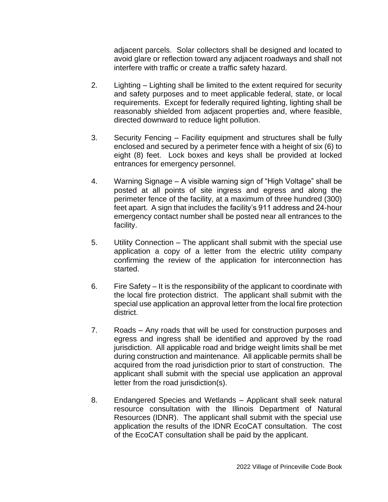adjacent parcels. Solar collectors shall be designed and located to avoid glare or reflection toward any adjacent roadways and shall not interfere with traffic or create a traffic safety hazard.

- 2. Lighting Lighting shall be limited to the extent required for security and safety purposes and to meet applicable federal, state, or local requirements. Except for federally required lighting, lighting shall be reasonably shielded from adjacent properties and, where feasible, directed downward to reduce light pollution.
- 3. Security Fencing Facility equipment and structures shall be fully enclosed and secured by a perimeter fence with a height of six (6) to eight (8) feet. Lock boxes and keys shall be provided at locked entrances for emergency personnel.
- 4. Warning Signage A visible warning sign of "High Voltage" shall be posted at all points of site ingress and egress and along the perimeter fence of the facility, at a maximum of three hundred (300) feet apart. A sign that includes the facility's 911 address and 24-hour emergency contact number shall be posted near all entrances to the facility.
- 5. Utility Connection The applicant shall submit with the special use application a copy of a letter from the electric utility company confirming the review of the application for interconnection has started.
- 6. Fire Safety It is the responsibility of the applicant to coordinate with the local fire protection district. The applicant shall submit with the special use application an approval letter from the local fire protection district.
- 7. Roads Any roads that will be used for construction purposes and egress and ingress shall be identified and approved by the road jurisdiction. All applicable road and bridge weight limits shall be met during construction and maintenance. All applicable permits shall be acquired from the road jurisdiction prior to start of construction. The applicant shall submit with the special use application an approval letter from the road jurisdiction(s).
- 8. Endangered Species and Wetlands Applicant shall seek natural resource consultation with the Illinois Department of Natural Resources (IDNR). The applicant shall submit with the special use application the results of the IDNR EcoCAT consultation. The cost of the EcoCAT consultation shall be paid by the applicant.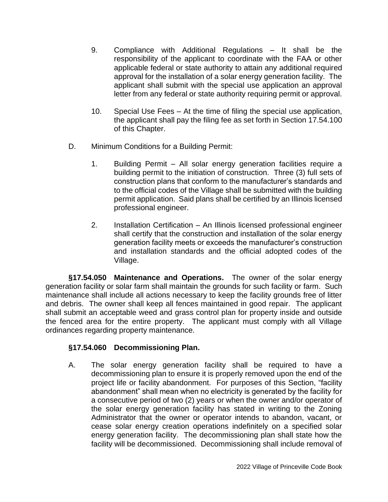- 9. Compliance with Additional Regulations It shall be the responsibility of the applicant to coordinate with the FAA or other applicable federal or state authority to attain any additional required approval for the installation of a solar energy generation facility. The applicant shall submit with the special use application an approval letter from any federal or state authority requiring permit or approval.
- 10. Special Use Fees At the time of filing the special use application, the applicant shall pay the filing fee as set forth in Section 17.54.100 of this Chapter.
- D. Minimum Conditions for a Building Permit:
	- 1. Building Permit All solar energy generation facilities require a building permit to the initiation of construction. Three (3) full sets of construction plans that conform to the manufacturer's standards and to the official codes of the Village shall be submitted with the building permit application. Said plans shall be certified by an Illinois licensed professional engineer.
	- 2. Installation Certification An Illinois licensed professional engineer shall certify that the construction and installation of the solar energy generation facility meets or exceeds the manufacturer's construction and installation standards and the official adopted codes of the Village.

**§17.54.050 Maintenance and Operations.** The owner of the solar energy generation facility or solar farm shall maintain the grounds for such facility or farm. Such maintenance shall include all actions necessary to keep the facility grounds free of litter and debris. The owner shall keep all fences maintained in good repair. The applicant shall submit an acceptable weed and grass control plan for property inside and outside the fenced area for the entire property. The applicant must comply with all Village ordinances regarding property maintenance.

# **§17.54.060 Decommissioning Plan.**

A. The solar energy generation facility shall be required to have a decommissioning plan to ensure it is properly removed upon the end of the project life or facility abandonment. For purposes of this Section, "facility abandonment" shall mean when no electricity is generated by the facility for a consecutive period of two (2) years or when the owner and/or operator of the solar energy generation facility has stated in writing to the Zoning Administrator that the owner or operator intends to abandon, vacant, or cease solar energy creation operations indefinitely on a specified solar energy generation facility. The decommissioning plan shall state how the facility will be decommissioned. Decommissioning shall include removal of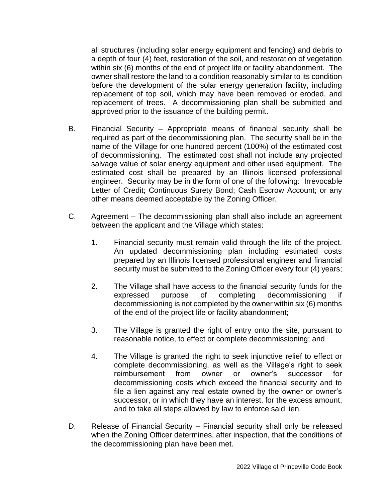all structures (including solar energy equipment and fencing) and debris to a depth of four (4) feet, restoration of the soil, and restoration of vegetation within six (6) months of the end of project life or facility abandonment. The owner shall restore the land to a condition reasonably similar to its condition before the development of the solar energy generation facility, including replacement of top soil, which may have been removed or eroded, and replacement of trees. A decommissioning plan shall be submitted and approved prior to the issuance of the building permit.

- B. Financial Security Appropriate means of financial security shall be required as part of the decommissioning plan. The security shall be in the name of the Village for one hundred percent (100%) of the estimated cost of decommissioning. The estimated cost shall not include any projected salvage value of solar energy equipment and other used equipment. The estimated cost shall be prepared by an Illinois licensed professional engineer. Security may be in the form of one of the following: Irrevocable Letter of Credit; Continuous Surety Bond; Cash Escrow Account; or any other means deemed acceptable by the Zoning Officer.
- C. Agreement The decommissioning plan shall also include an agreement between the applicant and the Village which states:
	- 1. Financial security must remain valid through the life of the project. An updated decommissioning plan including estimated costs prepared by an Illinois licensed professional engineer and financial security must be submitted to the Zoning Officer every four (4) years;
	- 2. The Village shall have access to the financial security funds for the expressed purpose of completing decommissioning if decommissioning is not completed by the owner within six (6) months of the end of the project life or facility abandonment;
	- 3. The Village is granted the right of entry onto the site, pursuant to reasonable notice, to effect or complete decommissioning; and
	- 4. The Village is granted the right to seek injunctive relief to effect or complete decommissioning, as well as the Village's right to seek reimbursement from owner or owner's successor for decommissioning costs which exceed the financial security and to file a lien against any real estate owned by the owner or owner's successor, or in which they have an interest, for the excess amount, and to take all steps allowed by law to enforce said lien.
- D. Release of Financial Security Financial security shall only be released when the Zoning Officer determines, after inspection, that the conditions of the decommissioning plan have been met.